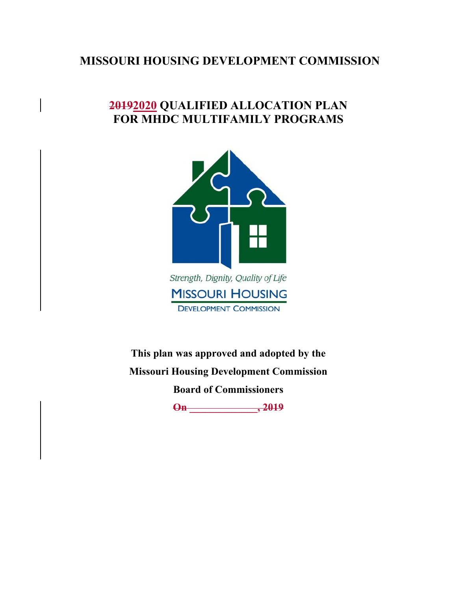### **MISSOURI HOUSING DEVELOPMENT COMMISSION**

### **20192020 QUALIFIED ALLOCATION PLAN FOR MHDC MULTIFAMILY PROGRAMS**



**DEVELOPMENT COMMISSION** 

**This plan was approved and adopted by the Missouri Housing Development Commission Board of Commissioners** 

**On \_\_\_\_\_\_\_\_\_\_\_\_\_, 2019**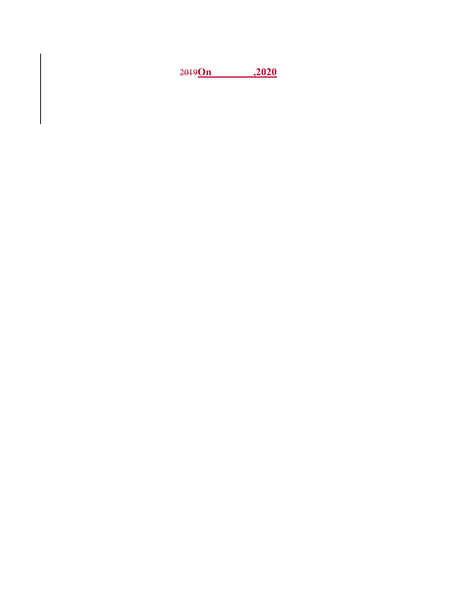**On ,2020**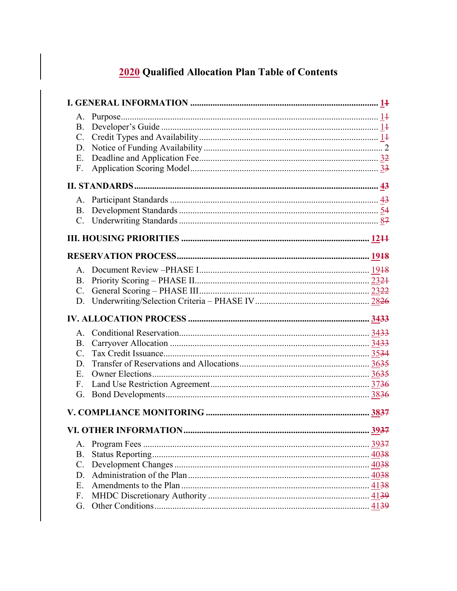### 2020 Qualified Allocation Plan Table of Contents

| <b>B.</b>   |      |
|-------------|------|
| $C_{\cdot}$ |      |
| D.          |      |
| E.          |      |
| F.          |      |
|             |      |
|             |      |
| <b>B.</b>   |      |
|             |      |
|             |      |
|             |      |
|             |      |
|             |      |
| B.          |      |
| $C_{\cdot}$ |      |
| D.          |      |
|             |      |
|             |      |
|             |      |
| $A_{1}$     |      |
| <b>B.</b>   |      |
| $C_{\cdot}$ |      |
| D.          |      |
| Ε.          |      |
| F.          |      |
| G.          |      |
|             |      |
|             | 3937 |
| A.          |      |
| <b>B.</b>   |      |
| C.          |      |
| D.          |      |
| Ε.          |      |
| F.          |      |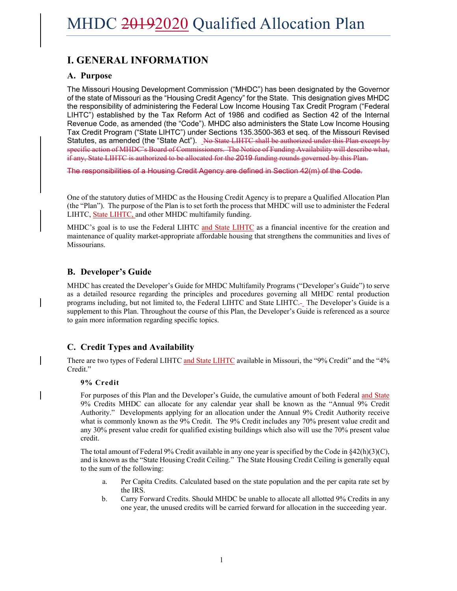### **I. GENERAL INFORMATION**

#### **A. Purpose**

The Missouri Housing Development Commission ("MHDC") has been designated by the Governor of the state of Missouri as the "Housing Credit Agency" for the State. This designation gives MHDC the responsibility of administering the Federal Low Income Housing Tax Credit Program ("Federal LIHTC") established by the Tax Reform Act of 1986 and codified as Section 42 of the Internal Revenue Code, as amended (the "Code"). MHDC also administers the State Low Income Housing Tax Credit Program ("State LIHTC") under Sections 135.3500-363 et seq. of the Missouri Revised Statutes, as amended (the "State Act"). No State LIHTC shall be authorized under this Plan except by specific action of MHDC's Board of Commissioners. The Notice of Funding Availability will describe what, if any, State LIHTC is authorized to be allocated for the 2019 funding rounds governed by this Plan.

The responsibilities of a Housing Credit Agency are defined in Section 42(m) of the Code.

One of the statutory duties of MHDC as the Housing Credit Agency is to prepare a Qualified Allocation Plan (the "Plan"). The purpose of the Plan is to set forth the process that MHDC will use to administer the Federal LIHTC, State LIHTC, and other MHDC multifamily funding.

MHDC's goal is to use the Federal LIHTC and State LIHTC as a financial incentive for the creation and maintenance of quality market-appropriate affordable housing that strengthens the communities and lives of Missourians.

### **B. Developer's Guide**

MHDC has created the Developer's Guide for MHDC Multifamily Programs ("Developer's Guide") to serve as a detailed resource regarding the principles and procedures governing all MHDC rental production programs including, but not limited to, the Federal LIHTC and State LIHTC. The Developer's Guide is a supplement to this Plan. Throughout the course of this Plan, the Developer's Guide is referenced as a source to gain more information regarding specific topics.

### **C. Credit Types and Availability**

There are two types of Federal LIHTC and State LIHTC available in Missouri, the "9% Credit" and the "4% Credit."

#### **9% Credit**

For purposes of this Plan and the Developer's Guide, the cumulative amount of both Federal and State 9% Credits MHDC can allocate for any calendar year shall be known as the "Annual 9% Credit Authority." Developments applying for an allocation under the Annual 9% Credit Authority receive what is commonly known as the 9% Credit. The 9% Credit includes any 70% present value credit and any 30% present value credit for qualified existing buildings which also will use the 70% present value credit.

The total amount of Federal 9% Credit available in any one year is specified by the Code in  $\frac{842(h)(3)(C)}{2}$ , and is known as the "State Housing Credit Ceiling." The State Housing Credit Ceiling is generally equal to the sum of the following:

- a. Per Capita Credits. Calculated based on the state population and the per capita rate set by the IRS.
- b. Carry Forward Credits. Should MHDC be unable to allocate all allotted 9% Credits in any one year, the unused credits will be carried forward for allocation in the succeeding year.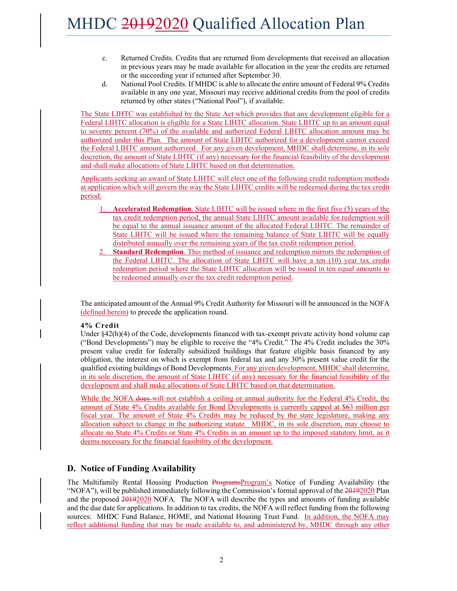- c. Returned Credits. Credits that are returned from developments that received an allocation in previous years may be made available for allocation in the year the credits are returned or the succeeding year if returned after September 30.
- d. National Pool Credits. If MHDC is able to allocate the entire amount of Federal 9% Credits available in any one year, Missouri may receive additional credits from the pool of credits returned by other states ("National Pool"), if available.

The State LIHTC was established by the State Act which provides that any development eligible for a Federal LIHTC allocation is eligible for a State LIHTC allocation. State LIHTC up to an amount equal to seventy percent (70%) of the available and authorized Federal LIHTC allocation amount may be authorized under this Plan. The amount of State LIHTC authorized for a development cannot exceed the Federal LIHTC amount authorized. For any given development, MHDC shall determine, in its sole discretion, the amount of State LIHTC (if any) necessary for the financial feasibility of the development and shall make allocations of State LIHTC based on that determination.

Applicants seeking an award of State LIHTC will elect one of the following credit redemption methods at application which will govern the way the State LIHTC credits will be redeemed during the tax credit period:

- 1. **Accelerated Redemption**. State LIHTC will be issued where in the first five (5) years of the tax credit redemption period, the annual State LIHTC amount available for redemption will be equal to the annual issuance amount of the allocated Federal LIHTC. The remainder of State LIHTC will be issued where the remaining balance of State LIHTC will be equally distributed annually over the remaining years of the tax credit redemption period.
- **Standard Redemption**. This method of issuance and redemption mirrors the redemption of the Federal LIHTC. The allocation of State LIHTC will have a ten (10) year tax credit redemption period where the State LIHTC allocation will be issued in ten equal amounts to be redeemed annually over the tax credit redemption period.

The anticipated amount of the Annual 9% Credit Authority for Missouri will be announced in the NOFA (defined herein) to precede the application round.

#### **4% Credit**

Under  $\S 42(h)(4)$  of the Code, developments financed with tax-exempt private activity bond volume cap ("Bond Developments") may be eligible to receive the "4% Credit." The 4% Credit includes the 30% present value credit for federally subsidized buildings that feature eligible basis financed by any obligation, the interest on which is exempt from federal tax and any 30% present value credit for the qualified existing buildings of Bond Developments. For any given development, MHDC shall determine, in its sole discretion, the amount of State LIHTC (if any) necessary for the financial feasibility of the development and shall make allocations of State LIHTC based on that determination.

While the NOFA does-will not establish a ceiling or annual authority for the Federal 4% Credit, the amount of State 4% Credits available for Bond Developments is currently capped at \$63 million per fiscal year. The amount of State 4% Credits may be reduced by the state legislature, making any allocation subject to change in the authorizing statute. MHDC, in its sole discretion, may choose to allocate no State 4% Credits or State 4% Credits in an amount up to the imposed statutory limit, as it deems necessary for the financial feasibility of the development.

### **D. Notice of Funding Availability**

The Multifamily Rental Housing Production ProgramsProgram's Notice of Funding Availability (the "NOFA"), will be published immediately following the Commission's formal approval of the 20192020 Plan and the proposed 20192020 NOFA. The NOFA will describe the types and amounts of funding available and the due date for applications. In addition to tax credits, the NOFA will reflect funding from the following sources: MHDC Fund Balance, HOME, and National Housing Trust Fund. In addition, the NOFA may reflect additional funding that may be made available to, and administered by, MHDC through any other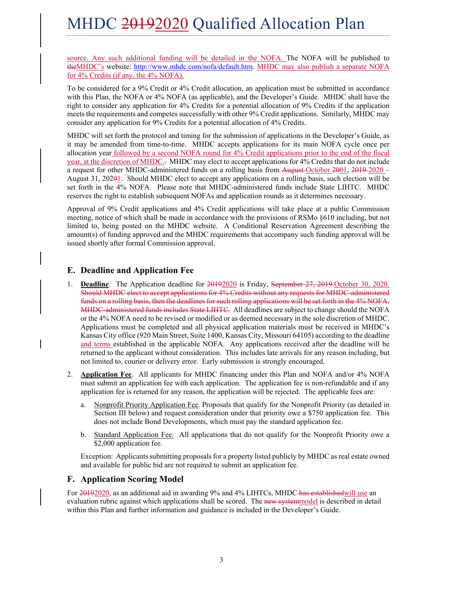source. Any such additional funding will be detailed in the NOFA. The NOFA will be published to theMHDC's website: http://www.mhdc.com/nofa/default.htm. MHDC may also publish a separate NOFA for 4% Credits (if any, the 4% NOFA).

To be considered for a 9% Credit or 4% Credit allocation, an application must be submitted in accordance with this Plan, the NOFA or 4% NOFA (as applicable), and the Developer's Guide. MHDC shall have the right to consider any application for 4% Credits for a potential allocation of 9% Credits if the application meets the requirements and competes successfully with other 9% Credit applications. Similarly, MHDC may consider any application for 9% Credits for a potential allocation of 4% Credits.

MHDC will set forth the protocol and timing for the submission of applications in the Developer's Guide, as it may be amended from time-to-time. MHDC accepts applications for its main NOFA cycle once per allocation year followed by a second NOFA round for 4% Credit applications prior to the end of the fiscal year, at the discretion of MHDC.<sup>7</sup> MHDC may elect to accept applications for 4% Credits that do not include a request for other MHDC-administered funds on a rolling basis from August October 2001, 2019-2020 – August 31, 20201. Should MHDC elect to accept any applications on a rolling basis, such election will be set forth in the 4% NOFA. Please note that MHDC-administered funds include State LIHTC. MHDC reserves the right to establish subsequent NOFAs and application rounds as it determines necessary.

Approval of 9% Credit applications and 4% Credit applications will take place at a public Commission meeting, notice of which shall be made in accordance with the provisions of RSMo §610 including, but not limited to, being posted on the MHDC website. A Conditional Reservation Agreement describing the amount(s) of funding approved and the MHDC requirements that accompany such funding approval will be issued shortly after formal Commission approval.

### **E. Deadline and Application Fee**

- 1. **Deadline**. The Application deadline for 20192020 is Friday, September 27, 2019. October 30, 2020. Should MHDC elect to accept applications for 4% Credits without any requests for MHDC-administered funds on a rolling basis, then the deadlines for such rolling applications will be set forth in the 4% NOFA. MHDC-administered funds includes State LIHTC. All deadlines are subject to change should the NOFA or the 4% NOFA need to be revised or modified or as deemed necessary in the sole discretion of MHDC. Applications must be completed and all physical application materials must be received in MHDC's Kansas City office (920 Main Street, Suite 1400, Kansas City, Missouri 64105) according to the deadline and terms established in the applicable NOFA. Any applications received after the deadline will be returned to the applicant without consideration. This includes late arrivals for any reason including, but not limited to, courier or delivery error. Early submission is strongly encouraged.
- 2. **Application Fee**. All applicants for MHDC financing under this Plan and NOFA and/or 4% NOFA must submit an application fee with each application. The application fee is non-refundable and if any application fee is returned for any reason, the application will be rejected. The applicable fees are:
	- a. Nonprofit Priority Application Fee. Proposals that qualify for the Nonprofit Priority (as detailed in Section III below) and request consideration under that priority owe a \$750 application fee. This does not include Bond Developments, which must pay the standard application fee.
	- b. Standard Application Fee. All applications that do not qualify for the Nonprofit Priority owe a \$2,000 application fee.

Exception: Applicants submitting proposals for a property listed publicly by MHDC as real estate owned and available for public bid are not required to submit an application fee.

#### **F. Application Scoring Model**

For 20192020, as an additional aid in awarding 9% and 4% LIHTCs, MHDC has established will use an evaluation rubric against which applications shall be scored. The new systemmodel is described in detail within this Plan and further information and guidance is included in the Developer's Guide.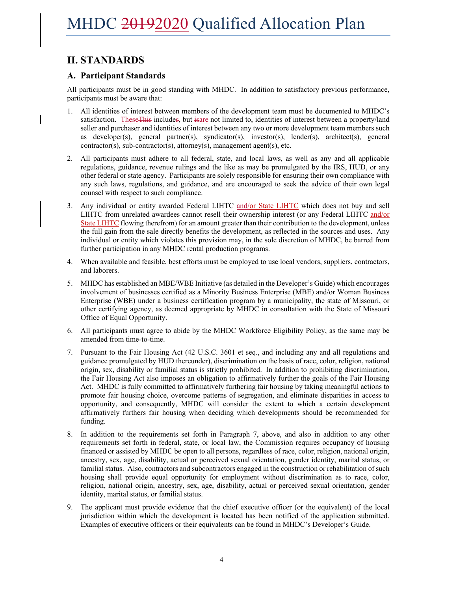### **II. STANDARDS**

#### **A. Participant Standards**

All participants must be in good standing with MHDC. In addition to satisfactory previous performance, participants must be aware that:

- 1. All identities of interest between members of the development team must be documented to MHDC's satisfaction. These This includes, but is are not limited to, identities of interest between a property/land seller and purchaser and identities of interest between any two or more development team members such as developer(s), general partner(s), syndicator(s), investor(s), lender(s), architect(s), general contractor(s), sub-contractor(s), attorney(s), management agent(s), etc.
- 2. All participants must adhere to all federal, state, and local laws, as well as any and all applicable regulations, guidance, revenue rulings and the like as may be promulgated by the IRS, HUD, or any other federal or state agency. Participants are solely responsible for ensuring their own compliance with any such laws, regulations, and guidance, and are encouraged to seek the advice of their own legal counsel with respect to such compliance.
- 3. Any individual or entity awarded Federal LIHTC and/or State LIHTC which does not buy and sell LIHTC from unrelated awardees cannot resell their ownership interest (or any Federal LIHTC and/or State LIHTC flowing therefrom) for an amount greater than their contribution to the development, unless the full gain from the sale directly benefits the development, as reflected in the sources and uses. Any individual or entity which violates this provision may, in the sole discretion of MHDC, be barred from further participation in any MHDC rental production programs.
- 4. When available and feasible, best efforts must be employed to use local vendors, suppliers, contractors, and laborers.
- 5. MHDC has established an MBE/WBE Initiative (as detailed in the Developer's Guide) which encourages involvement of businesses certified as a Minority Business Enterprise (MBE) and/or Woman Business Enterprise (WBE) under a business certification program by a municipality, the state of Missouri, or other certifying agency, as deemed appropriate by MHDC in consultation with the State of Missouri Office of Equal Opportunity.
- 6. All participants must agree to abide by the MHDC Workforce Eligibility Policy, as the same may be amended from time-to-time.
- 7. Pursuant to the Fair Housing Act (42 U.S.C. 3601 et seq., and including any and all regulations and guidance promulgated by HUD thereunder), discrimination on the basis of race, color, religion, national origin, sex, disability or familial status is strictly prohibited. In addition to prohibiting discrimination, the Fair Housing Act also imposes an obligation to affirmatively further the goals of the Fair Housing Act. MHDC is fully committed to affirmatively furthering fair housing by taking meaningful actions to promote fair housing choice, overcome patterns of segregation, and eliminate disparities in access to opportunity, and consequently, MHDC will consider the extent to which a certain development affirmatively furthers fair housing when deciding which developments should be recommended for funding.
- 8. In addition to the requirements set forth in Paragraph 7, above, and also in addition to any other requirements set forth in federal, state, or local law, the Commission requires occupancy of housing financed or assisted by MHDC be open to all persons, regardless of race, color, religion, national origin, ancestry, sex, age, disability, actual or perceived sexual orientation, gender identity, marital status, or familial status. Also, contractors and subcontractors engaged in the construction or rehabilitation of such housing shall provide equal opportunity for employment without discrimination as to race, color, religion, national origin, ancestry, sex, age, disability, actual or perceived sexual orientation, gender identity, marital status, or familial status.
- 9. The applicant must provide evidence that the chief executive officer (or the equivalent) of the local jurisdiction within which the development is located has been notified of the application submitted. Examples of executive officers or their equivalents can be found in MHDC's Developer's Guide.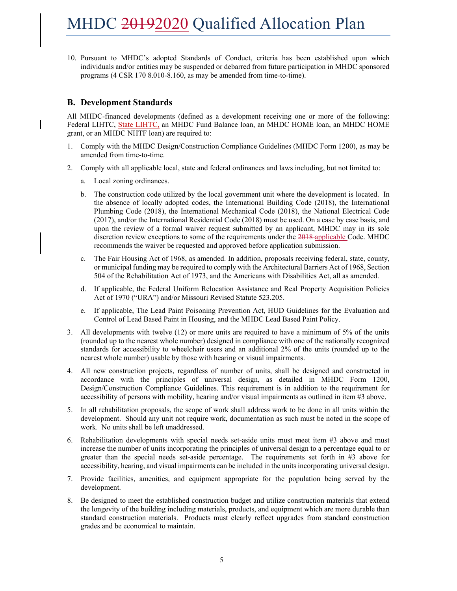10. Pursuant to MHDC's adopted Standards of Conduct, criteria has been established upon which individuals and/or entities may be suspended or debarred from future participation in MHDC sponsored programs (4 CSR 170 8.010-8.160, as may be amended from time-to-time).

#### **B. Development Standards**

All MHDC-financed developments (defined as a development receiving one or more of the following: Federal LIHTC, State LIHTC, an MHDC Fund Balance loan, an MHDC HOME loan, an MHDC HOME grant, or an MHDC NHTF loan) are required to:

- 1. Comply with the MHDC Design/Construction Compliance Guidelines (MHDC Form 1200), as may be amended from time-to-time.
- 2. Comply with all applicable local, state and federal ordinances and laws including, but not limited to:
	- a. Local zoning ordinances.
	- b. The construction code utilized by the local government unit where the development is located. In the absence of locally adopted codes, the International Building Code (2018), the International Plumbing Code (2018), the International Mechanical Code (2018), the National Electrical Code (2017), and/or the International Residential Code (2018) must be used. On a case by case basis, and upon the review of a formal waiver request submitted by an applicant, MHDC may in its sole discretion review exceptions to some of the requirements under the 2018 applicable Code. MHDC recommends the waiver be requested and approved before application submission.
	- c. The Fair Housing Act of 1968, as amended. In addition, proposals receiving federal, state, county, or municipal funding may be required to comply with the Architectural Barriers Act of 1968, Section 504 of the Rehabilitation Act of 1973, and the Americans with Disabilities Act, all as amended.
	- d. If applicable, the Federal Uniform Relocation Assistance and Real Property Acquisition Policies Act of 1970 ("URA") and/or Missouri Revised Statute 523.205.
	- e. If applicable, The Lead Paint Poisoning Prevention Act, HUD Guidelines for the Evaluation and Control of Lead Based Paint in Housing, and the MHDC Lead Based Paint Policy.
- 3. All developments with twelve (12) or more units are required to have a minimum of 5% of the units (rounded up to the nearest whole number) designed in compliance with one of the nationally recognized standards for accessibility to wheelchair users and an additional 2% of the units (rounded up to the nearest whole number) usable by those with hearing or visual impairments.
- 4. All new construction projects, regardless of number of units, shall be designed and constructed in accordance with the principles of universal design, as detailed in MHDC Form 1200, Design/Construction Compliance Guidelines. This requirement is in addition to the requirement for accessibility of persons with mobility, hearing and/or visual impairments as outlined in item #3 above.
- 5. In all rehabilitation proposals, the scope of work shall address work to be done in all units within the development. Should any unit not require work, documentation as such must be noted in the scope of work. No units shall be left unaddressed.
- 6. Rehabilitation developments with special needs set-aside units must meet item #3 above and must increase the number of units incorporating the principles of universal design to a percentage equal to or greater than the special needs set-aside percentage. The requirements set forth in #3 above for accessibility, hearing, and visual impairments can be included in the units incorporating universal design.
- 7. Provide facilities, amenities, and equipment appropriate for the population being served by the development.
- 8. Be designed to meet the established construction budget and utilize construction materials that extend the longevity of the building including materials, products, and equipment which are more durable than standard construction materials. Products must clearly reflect upgrades from standard construction grades and be economical to maintain.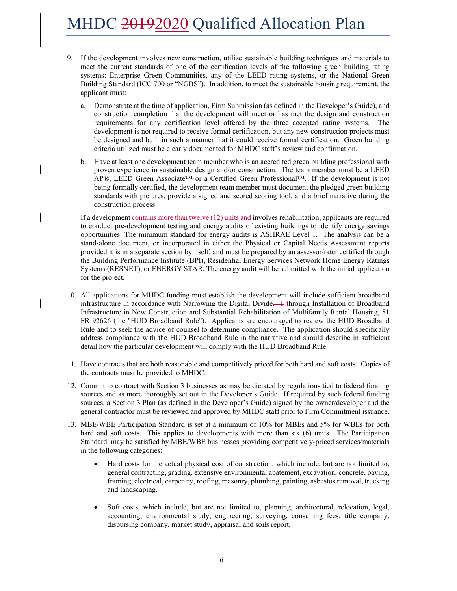- 9. If the development involves new construction, utilize sustainable building techniques and materials to meet the current standards of one of the certification levels of the following green building rating systems: Enterprise Green Communities, any of the LEED rating systems, or the National Green Building Standard (ICC 700 or "NGBS"). In addition, to meet the sustainable housing requirement, the applicant must:
	- a. Demonstrate at the time of application, Firm Submission (as defined in the Developer's Guide), and construction completion that the development will meet or has met the design and construction requirements for any certification level offered by the three accepted rating systems. The development is not required to receive formal certification, but any new construction projects must be designed and built in such a manner that it could receive formal certification. Green building criteria utilized must be clearly documented for MHDC staff's review and confirmation.
	- b. Have at least one development team member who is an accredited green building professional with proven experience in sustainable design and/or construction. The team member must be a LEED AP®, LEED Green Associate™ or a Certified Green Professional™. If the development is not being formally certified, the development team member must document the pledged green building standards with pictures, provide a signed and scored scoring tool, and a brief narrative during the construction process.

If a development contains more than twelve (12) units and involves rehabilitation, applicants are required to conduct pre-development testing and energy audits of existing buildings to identify energy savings opportunities. The minimum standard for energy audits is ASHRAE Level 1. The analysis can be a stand-alone document, or incorporated in either the Physical or Capital Needs Assessment reports provided it is in a separate section by itself, and must be prepared by an assessor/rater certified through the Building Performance Institute (BPI), Residential Energy Services Network Home Energy Ratings Systems (RESNET), or ENERGY STAR. The energy audit will be submitted with the initial application for the project.

- 10. All applications for MHDC funding must establish the development will include sufficient broadband infrastructure in accordance with Narrowing the Digital Divide. The Interval Installation of Broadband Infrastructure in New Construction and Substantial Rehabilitation of Multifamily Rental Housing, 81 FR 92626 (the "HUD Broadband Rule"). Applicants are encouraged to review the HUD Broadband Rule and to seek the advice of counsel to determine compliance. The application should specifically address compliance with the HUD Broadband Rule in the narrative and should describe in sufficient detail how the particular development will comply with the HUD Broadband Rule.
- 11. Have contracts that are both reasonable and competitively priced for both hard and soft costs. Copies of the contracts must be provided to MHDC.
- 12. Commit to contract with Section 3 businesses as may be dictated by regulations tied to federal funding sources and as more thoroughly set out in the Developer's Guide. If required by such federal funding sources, a Section 3 Plan (as defined in the Developer's Guide) signed by the owner/developer and the general contractor must be reviewed and approved by MHDC staff prior to Firm Commitment issuance.
- 13. MBE/WBE Participation Standard is set at a minimum of 10% for MBEs and 5% for WBEs for both hard and soft costs. This applies to developments with more than six (6) units. The Participation Standard may be satisfied by MBE/WBE businesses providing competitively-priced services/materials in the following categories:
	- Hard costs for the actual physical cost of construction, which include, but are not limited to, general contracting, grading, extensive environmental abatement, excavation, concrete, paving, framing, electrical, carpentry, roofing, masonry, plumbing, painting, asbestos removal, trucking and landscaping.
	- Soft costs, which include, but are not limited to, planning, architectural, relocation, legal, accounting, environmental study, engineering, surveying, consulting fees, title company, disbursing company, market study, appraisal and soils report.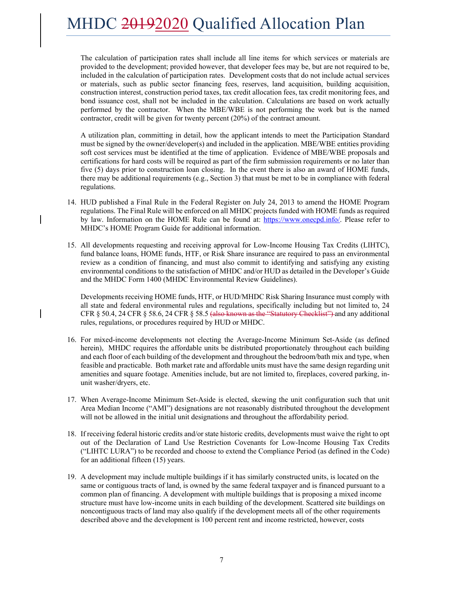The calculation of participation rates shall include all line items for which services or materials are provided to the development; provided however, that developer fees may be, but are not required to be, included in the calculation of participation rates. Development costs that do not include actual services or materials, such as public sector financing fees, reserves, land acquisition, building acquisition, construction interest, construction period taxes, tax credit allocation fees, tax credit monitoring fees, and bond issuance cost, shall not be included in the calculation. Calculations are based on work actually performed by the contractor. When the MBE/WBE is not performing the work but is the named contractor, credit will be given for twenty percent (20%) of the contract amount.

A utilization plan, committing in detail, how the applicant intends to meet the Participation Standard must be signed by the owner/developer(s) and included in the application. MBE/WBE entities providing soft cost services must be identified at the time of application. Evidence of MBE/WBE proposals and certifications for hard costs will be required as part of the firm submission requirements or no later than five (5) days prior to construction loan closing. In the event there is also an award of HOME funds, there may be additional requirements (e.g., Section 3) that must be met to be in compliance with federal regulations.

- 14. HUD published a Final Rule in the Federal Register on July 24, 2013 to amend the HOME Program regulations. The Final Rule will be enforced on all MHDC projects funded with HOME funds as required by law. Information on the HOME Rule can be found at: https://www.onecpd.info/. Please refer to MHDC's HOME Program Guide for additional information.
- 15. All developments requesting and receiving approval for Low-Income Housing Tax Credits (LIHTC), fund balance loans, HOME funds, HTF, or Risk Share insurance are required to pass an environmental review as a condition of financing, and must also commit to identifying and satisfying any existing environmental conditions to the satisfaction of MHDC and/or HUD as detailed in the Developer's Guide and the MHDC Form 1400 (MHDC Environmental Review Guidelines).

Developments receiving HOME funds, HTF, or HUD/MHDC Risk Sharing Insurance must comply with all state and federal environmental rules and regulations, specifically including but not limited to, 24 CFR § 50.4, 24 CFR § 58.6, 24 CFR § 58.5 (also known as the "Statutory Checklist") and any additional rules, regulations, or procedures required by HUD or MHDC.

- 16. For mixed-income developments not electing the Average-Income Minimum Set-Aside (as defined herein), MHDC requires the affordable units be distributed proportionately throughout each building and each floor of each building of the development and throughout the bedroom/bath mix and type, when feasible and practicable. Both market rate and affordable units must have the same design regarding unit amenities and square footage. Amenities include, but are not limited to, fireplaces, covered parking, inunit washer/dryers, etc.
- 17. When Average-Income Minimum Set-Aside is elected, skewing the unit configuration such that unit Area Median Income ("AMI") designations are not reasonably distributed throughout the development will not be allowed in the initial unit designations and throughout the affordability period.
- 18. If receiving federal historic credits and/or state historic credits, developments must waive the right to opt out of the Declaration of Land Use Restriction Covenants for Low-Income Housing Tax Credits ("LIHTC LURA") to be recorded and choose to extend the Compliance Period (as defined in the Code) for an additional fifteen (15) years.
- 19. A development may include multiple buildings if it has similarly constructed units, is located on the same or contiguous tracts of land, is owned by the same federal taxpayer and is financed pursuant to a common plan of financing. A development with multiple buildings that is proposing a mixed income structure must have low-income units in each building of the development. Scattered site buildings on noncontiguous tracts of land may also qualify if the development meets all of the other requirements described above and the development is 100 percent rent and income restricted, however, costs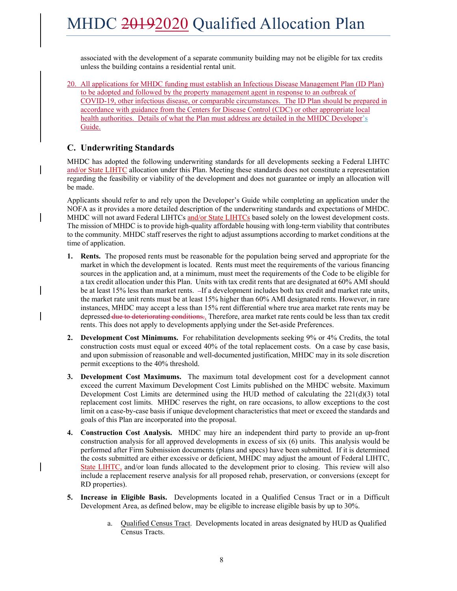associated with the development of a separate community building may not be eligible for tax credits unless the building contains a residential rental unit.

20. All applications for MHDC funding must establish an Infectious Disease Management Plan (ID Plan) to be adopted and followed by the property management agent in response to an outbreak of COVID-19, other infectious disease, or comparable circumstances. The ID Plan should be prepared in accordance with guidance from the Centers for Disease Control (CDC) or other appropriate local health authorities. Details of what the Plan must address are detailed in the MHDC Developer's Guide.

### **C. Underwriting Standards**

MHDC has adopted the following underwriting standards for all developments seeking a Federal LIHTC and/or State LIHTC allocation under this Plan. Meeting these standards does not constitute a representation regarding the feasibility or viability of the development and does not guarantee or imply an allocation will be made.

Applicants should refer to and rely upon the Developer's Guide while completing an application under the NOFA as it provides a more detailed description of the underwriting standards and expectations of MHDC. MHDC will not award Federal LIHTCs and/or State LIHTCs based solely on the lowest development costs. The mission of MHDC is to provide high-quality affordable housing with long-term viability that contributes to the community. MHDC staff reserves the right to adjust assumptions according to market conditions at the time of application.

- **1. Rents.** The proposed rents must be reasonable for the population being served and appropriate for the market in which the development is located. Rents must meet the requirements of the various financing sources in the application and, at a minimum, must meet the requirements of the Code to be eligible for a tax credit allocation under this Plan. Units with tax credit rents that are designated at 60% AMI should be at least 15% less than market rents. If a development includes both tax credit and market rate units, the market rate unit rents must be at least 15% higher than 60% AMI designated rents. However, in rare instances, MHDC may accept a less than 15% rent differential where true area market rate rents may be depressed due to deteriorating conditions.. Therefore, area market rate rents could be less than tax credit rents. This does not apply to developments applying under the Set-aside Preferences.
- **2. Development Cost Minimums.** For rehabilitation developments seeking 9% or 4% Credits, the total construction costs must equal or exceed 40% of the total replacement costs. On a case by case basis, and upon submission of reasonable and well-documented justification, MHDC may in its sole discretion permit exceptions to the 40% threshold.
- **3. Development Cost Maximums.** The maximum total development cost for a development cannot exceed the current Maximum Development Cost Limits published on the MHDC website. Maximum Development Cost Limits are determined using the HUD method of calculating the  $221(d)(3)$  total replacement cost limits. MHDC reserves the right, on rare occasions, to allow exceptions to the cost limit on a case-by-case basis if unique development characteristics that meet or exceed the standards and goals of this Plan are incorporated into the proposal.
- **4. Construction Cost Analysis.** MHDC may hire an independent third party to provide an up-front construction analysis for all approved developments in excess of six (6) units. This analysis would be performed after Firm Submission documents (plans and specs) have been submitted. If it is determined the costs submitted are either excessive or deficient, MHDC may adjust the amount of Federal LIHTC, State LIHTC, and/or loan funds allocated to the development prior to closing. This review will also include a replacement reserve analysis for all proposed rehab, preservation, or conversions (except for RD properties).
- **5. Increase in Eligible Basis.** Developments located in a Qualified Census Tract or in a Difficult Development Area, as defined below, may be eligible to increase eligible basis by up to 30%.
	- a. Qualified Census Tract. Developments located in areas designated by HUD as Qualified Census Tracts.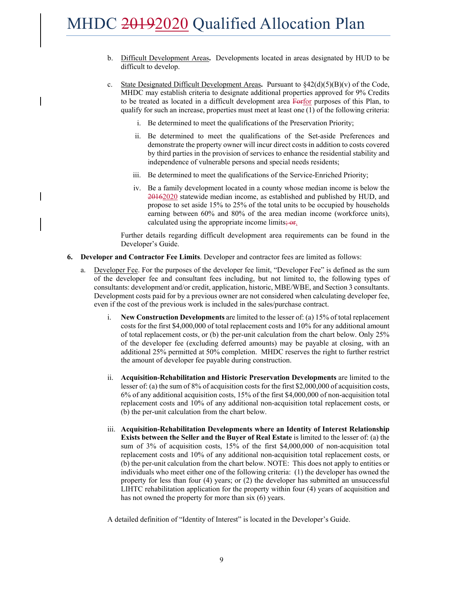- b. Difficult Development Areas**.** Developments located in areas designated by HUD to be difficult to develop.
- c. State Designated Difficult Development Areas. Pursuant to  $\frac{842(d)(5)(B)}{v}$  of the Code, MHDC may establish criteria to designate additional properties approved for 9% Credits to be treated as located in a difficult development area Forfor purposes of this Plan, to qualify for such an increase, properties must meet at least one (1) of the following criteria:
	- i. Be determined to meet the qualifications of the Preservation Priority;
	- ii. Be determined to meet the qualifications of the Set-aside Preferences and demonstrate the property owner will incur direct costs in addition to costs covered by third parties in the provision of services to enhance the residential stability and independence of vulnerable persons and special needs residents;
	- iii. Be determined to meet the qualifications of the Service-Enriched Priority;
	- iv. Be a family development located in a county whose median income is below the 20162020 statewide median income, as established and published by HUD, and propose to set aside 15% to 25% of the total units to be occupied by households earning between 60% and 80% of the area median income (workforce units), calculated using the appropriate income limits; or.

Further details regarding difficult development area requirements can be found in the Developer's Guide.

- **6. Developer and Contractor Fee Limits**. Developer and contractor fees are limited as follows:
	- a. Developer Fee. For the purposes of the developer fee limit, "Developer Fee" is defined as the sum of the developer fee and consultant fees including, but not limited to, the following types of consultants: development and/or credit, application, historic, MBE/WBE, and Section 3 consultants. Development costs paid for by a previous owner are not considered when calculating developer fee, even if the cost of the previous work is included in the sales/purchase contract.
		- i. **New Construction Developments** are limited to the lesser of: (a) 15% of total replacement costs for the first \$4,000,000 of total replacement costs and 10% for any additional amount of total replacement costs, or (b) the per-unit calculation from the chart below. Only 25% of the developer fee (excluding deferred amounts) may be payable at closing, with an additional 25% permitted at 50% completion. MHDC reserves the right to further restrict the amount of developer fee payable during construction.
		- ii. **Acquisition-Rehabilitation and Historic Preservation Developments** are limited to the lesser of: (a) the sum of 8% of acquisition costs for the first \$2,000,000 of acquisition costs, 6% of any additional acquisition costs, 15% of the first \$4,000,000 of non-acquisition total replacement costs and 10% of any additional non-acquisition total replacement costs, or (b) the per-unit calculation from the chart below.
		- iii. **Acquisition-Rehabilitation Developments where an Identity of Interest Relationship Exists between the Seller and the Buyer of Real Estate** is limited to the lesser of: (a) the sum of 3% of acquisition costs, 15% of the first \$4,000,000 of non-acquisition total replacement costs and 10% of any additional non-acquisition total replacement costs, or (b) the per-unit calculation from the chart below. NOTE: This does not apply to entities or individuals who meet either one of the following criteria: (1) the developer has owned the property for less than four (4) years; or (2) the developer has submitted an unsuccessful LIHTC rehabilitation application for the property within four (4) years of acquisition and has not owned the property for more than six (6) years.

A detailed definition of "Identity of Interest" is located in the Developer's Guide.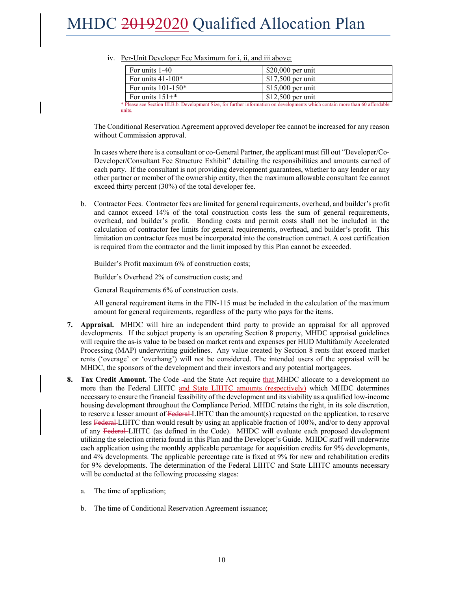| For units 1-40                                                                                                                | $$20,000$ per unit |  |
|-------------------------------------------------------------------------------------------------------------------------------|--------------------|--|
| For units $41-100*$                                                                                                           | $$17,500$ per unit |  |
| For units $101-150*$                                                                                                          | $$15,000$ per unit |  |
| For units $151+$ *                                                                                                            | $$12,500$ per unit |  |
| * Please see Section III.B.b. Development Size, for further information on developments which contain more than 60 affordable |                    |  |
| units.                                                                                                                        |                    |  |

| iv. Per-Unit Developer Fee Maximum for i, ii, and iii above: |  |
|--------------------------------------------------------------|--|
|--------------------------------------------------------------|--|

The Conditional Reservation Agreement approved developer fee cannot be increased for any reason without Commission approval.

In cases where there is a consultant or co-General Partner, the applicant must fill out "Developer/Co-Developer/Consultant Fee Structure Exhibit" detailing the responsibilities and amounts earned of each party. If the consultant is not providing development guarantees, whether to any lender or any other partner or member of the ownership entity, then the maximum allowable consultant fee cannot exceed thirty percent (30%) of the total developer fee.

b. Contractor Fees. Contractor fees are limited for general requirements, overhead, and builder's profit and cannot exceed 14% of the total construction costs less the sum of general requirements, overhead, and builder's profit. Bonding costs and permit costs shall not be included in the calculation of contractor fee limits for general requirements, overhead, and builder's profit. This limitation on contractor fees must be incorporated into the construction contract. A cost certification is required from the contractor and the limit imposed by this Plan cannot be exceeded.

Builder's Profit maximum 6% of construction costs;

Builder's Overhead 2% of construction costs; and

General Requirements 6% of construction costs.

All general requirement items in the FIN-115 must be included in the calculation of the maximum amount for general requirements, regardless of the party who pays for the items.

- **7. Appraisal.** MHDC will hire an independent third party to provide an appraisal for all approved developments. If the subject property is an operating Section 8 property, MHDC appraisal guidelines will require the as-is value to be based on market rents and expenses per HUD Multifamily Accelerated Processing (MAP) underwriting guidelines. Any value created by Section 8 rents that exceed market rents ('overage' or 'overhang') will not be considered. The intended users of the appraisal will be MHDC, the sponsors of the development and their investors and any potential mortgagees.
- **8. Tax Credit Amount.** The Code -and the State Act require that MHDC allocate to a development no more than the Federal LIHTC and State LIHTC amounts (respectively) which MHDC determines necessary to ensure the financial feasibility of the development and its viability as a qualified low-income housing development throughout the Compliance Period. MHDC retains the right, in its sole discretion, to reserve a lesser amount of Federal-LIHTC than the amount(s) requested on the application, to reserve less Federal-LIHTC than would result by using an applicable fraction of 100%, and/or to deny approval of any Federal–LIHTC (as defined in the Code). MHDC will evaluate each proposed development utilizing the selection criteria found in this Plan and the Developer's Guide. MHDC staff will underwrite each application using the monthly applicable percentage for acquisition credits for 9% developments, and 4% developments. The applicable percentage rate is fixed at 9% for new and rehabilitation credits for 9% developments. The determination of the Federal LIHTC and State LIHTC amounts necessary will be conducted at the following processing stages:
	- a. The time of application;
	- b. The time of Conditional Reservation Agreement issuance;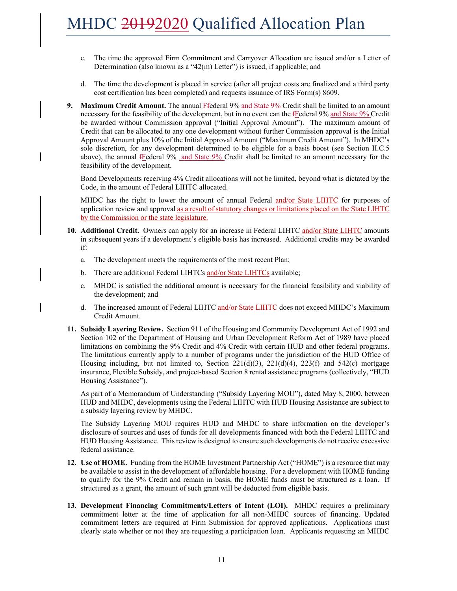- c. The time the approved Firm Commitment and Carryover Allocation are issued and/or a Letter of Determination (also known as a "42(m) Letter") is issued, if applicable; and
- d. The time the development is placed in service (after all project costs are finalized and a third party cost certification has been completed) and requests issuance of IRS Form(s) 8609.
- **9. Maximum Credit Amount.** The annual **F**eteral 9% and State 9% Credit shall be limited to an amount necessary for the feasibility of the development, but in no event can the fFederal 9% and State 9% Credit be awarded without Commission approval ("Initial Approval Amount"). The maximum amount of Credit that can be allocated to any one development without further Commission approval is the Initial Approval Amount plus 10% of the Initial Approval Amount ("Maximum Credit Amount"). In MHDC's sole discretion, for any development determined to be eligible for a basis boost (see Section II.C.5 above), the annual fFederal 9% and State 9% Credit shall be limited to an amount necessary for the feasibility of the development.

Bond Developments receiving 4% Credit allocations will not be limited, beyond what is dictated by the Code, in the amount of Federal LIHTC allocated.

MHDC has the right to lower the amount of annual Federal and/or State LIHTC for purposes of application review and approval as a result of statutory changes or limitations placed on the State LIHTC by the Commission or the state legislature.

- **10. Additional Credit.** Owners can apply for an increase in Federal LIHTC and/or State LIHTC amounts in subsequent years if a development's eligible basis has increased. Additional credits may be awarded if:
	- a. The development meets the requirements of the most recent Plan;
	- b. There are additional Federal LIHTCs and/or State LIHTCs available;
	- c. MHDC is satisfied the additional amount is necessary for the financial feasibility and viability of the development; and
	- d. The increased amount of Federal LIHTC and/or State LIHTC does not exceed MHDC's Maximum Credit Amount.
- **11. Subsidy Layering Review.** Section 911 of the Housing and Community Development Act of 1992 and Section 102 of the Department of Housing and Urban Development Reform Act of 1989 have placed limitations on combining the 9% Credit and 4% Credit with certain HUD and other federal programs. The limitations currently apply to a number of programs under the jurisdiction of the HUD Office of Housing including, but not limited to, Section 221(d)(3), 221(d)(4), 223(f) and 542(c) mortgage insurance, Flexible Subsidy, and project-based Section 8 rental assistance programs (collectively, "HUD Housing Assistance").

As part of a Memorandum of Understanding ("Subsidy Layering MOU"), dated May 8, 2000, between HUD and MHDC, developments using the Federal LIHTC with HUD Housing Assistance are subject to a subsidy layering review by MHDC.

The Subsidy Layering MOU requires HUD and MHDC to share information on the developer's disclosure of sources and uses of funds for all developments financed with both the Federal LIHTC and HUD Housing Assistance. This review is designed to ensure such developments do not receive excessive federal assistance.

- **12. Use of HOME.** Funding from the HOME Investment Partnership Act ("HOME") is a resource that may be available to assist in the development of affordable housing. For a development with HOME funding to qualify for the 9% Credit and remain in basis, the HOME funds must be structured as a loan. If structured as a grant, the amount of such grant will be deducted from eligible basis.
- **13. Development Financing Commitments/Letters of Intent (LOI).** MHDC requires a preliminary commitment letter at the time of application for all non-MHDC sources of financing. Updated commitment letters are required at Firm Submission for approved applications. Applications must clearly state whether or not they are requesting a participation loan. Applicants requesting an MHDC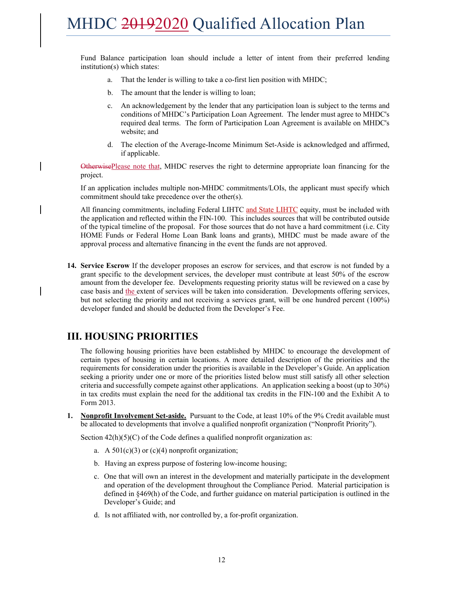Fund Balance participation loan should include a letter of intent from their preferred lending institution(s) which states:

- a. That the lender is willing to take a co-first lien position with MHDC;
- b. The amount that the lender is willing to loan;
- c. An acknowledgement by the lender that any participation loan is subject to the terms and conditions of MHDC's Participation Loan Agreement. The lender must agree to MHDC's required deal terms. The form of Participation Loan Agreement is available on MHDC's website; and
- d. The election of the Average-Income Minimum Set-Aside is acknowledged and affirmed, if applicable.

OtherwisePlease note that, MHDC reserves the right to determine appropriate loan financing for the project.

If an application includes multiple non-MHDC commitments/LOIs, the applicant must specify which commitment should take precedence over the other(s).

All financing commitments, including Federal LIHTC and State LIHTC equity, must be included with the application and reflected within the FIN-100. This includes sources that will be contributed outside of the typical timeline of the proposal. For those sources that do not have a hard commitment (i.e. City HOME Funds or Federal Home Loan Bank loans and grants), MHDC must be made aware of the approval process and alternative financing in the event the funds are not approved.

**14. Service Escrow** If the developer proposes an escrow for services, and that escrow is not funded by a grant specific to the development services, the developer must contribute at least 50% of the escrow amount from the developer fee. Developments requesting priority status will be reviewed on a case by case basis and the extent of services will be taken into consideration. Developments offering services, but not selecting the priority and not receiving a services grant, will be one hundred percent (100%) developer funded and should be deducted from the Developer's Fee.

### **III. HOUSING PRIORITIES**

The following housing priorities have been established by MHDC to encourage the development of certain types of housing in certain locations. A more detailed description of the priorities and the requirements for consideration under the priorities is available in the Developer's Guide. An application seeking a priority under one or more of the priorities listed below must still satisfy all other selection criteria and successfully compete against other applications. An application seeking a boost (up to 30%) in tax credits must explain the need for the additional tax credits in the FIN-100 and the Exhibit A to Form 2013.

**1. Nonprofit Involvement Set-aside.** Pursuant to the Code, at least 10% of the 9% Credit available must be allocated to developments that involve a qualified nonprofit organization ("Nonprofit Priority").

Section  $42(h)(5)(C)$  of the Code defines a qualified nonprofit organization as:

- a. A  $501(c)(3)$  or  $(c)(4)$  nonprofit organization;
- b. Having an express purpose of fostering low-income housing;
- c. One that will own an interest in the development and materially participate in the development and operation of the development throughout the Compliance Period. Material participation is defined in §469(h) of the Code, and further guidance on material participation is outlined in the Developer's Guide; and
- d. Is not affiliated with, nor controlled by, a for-profit organization.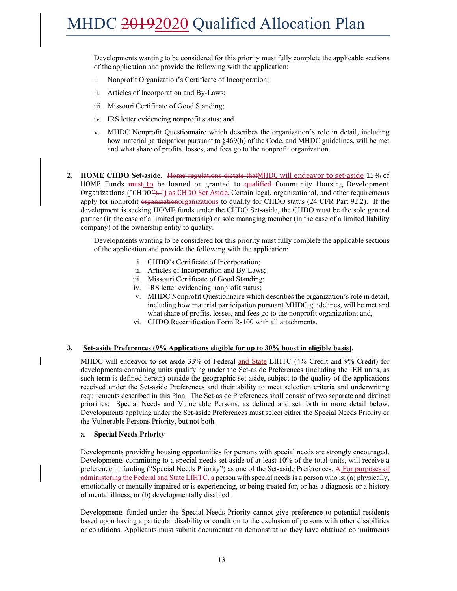Developments wanting to be considered for this priority must fully complete the applicable sections of the application and provide the following with the application:

- i. Nonprofit Organization's Certificate of Incorporation;
- ii. Articles of Incorporation and By-Laws;
- iii. Missouri Certificate of Good Standing;
- iv. IRS letter evidencing nonprofit status; and
- v. MHDC Nonprofit Questionnaire which describes the organization's role in detail, including how material participation pursuant to §469(h) of the Code, and MHDC guidelines, will be met and what share of profits, losses, and fees go to the nonprofit organization.
- **2. HOME CHDO Set-aside.** Home regulations dictate thatMHDC will endeavor to set-aside 15% of HOME Funds **must to** be loaned or granted to qualified Community Housing Development Organizations ("CHDO"). ") as CHDO Set Aside. Certain legal, organizational, and other requirements apply for nonprofit organizationorganizations to qualify for CHDO status (24 CFR Part 92.2). If the development is seeking HOME funds under the CHDO Set-aside, the CHDO must be the sole general partner (in the case of a limited partnership) or sole managing member (in the case of a limited liability company) of the ownership entity to qualify.

Developments wanting to be considered for this priority must fully complete the applicable sections of the application and provide the following with the application:

- i. CHDO's Certificate of Incorporation;
- ii. Articles of Incorporation and By-Laws;
- iii. Missouri Certificate of Good Standing;
- iv. IRS letter evidencing nonprofit status;
- v. MHDC Nonprofit Questionnaire which describes the organization's role in detail, including how material participation pursuant MHDC guidelines, will be met and what share of profits, losses, and fees go to the nonprofit organization; and,
- vi. CHDO Recertification Form R-100 with all attachments.

#### **3. Set-aside Preferences (9% Applications eligible for up to 30% boost in eligible basis)**.

MHDC will endeavor to set aside 33% of Federal and State LIHTC (4% Credit and 9% Credit) for developments containing units qualifying under the Set-aside Preferences (including the IEH units, as such term is defined herein) outside the geographic set-aside, subject to the quality of the applications received under the Set-aside Preferences and their ability to meet selection criteria and underwriting requirements described in this Plan. The Set-aside Preferences shall consist of two separate and distinct priorities: Special Needs and Vulnerable Persons, as defined and set forth in more detail below. Developments applying under the Set-aside Preferences must select either the Special Needs Priority or the Vulnerable Persons Priority, but not both.

#### a. **Special Needs Priority**

Developments providing housing opportunities for persons with special needs are strongly encouraged. Developments committing to a special needs set-aside of at least 10% of the total units, will receive a preference in funding ("Special Needs Priority") as one of the Set-aside Preferences. A For purposes of administering the Federal and State LIHTC, a person with special needs is a person who is: (a) physically, emotionally or mentally impaired or is experiencing, or being treated for, or has a diagnosis or a history of mental illness; or (b) developmentally disabled.

Developments funded under the Special Needs Priority cannot give preference to potential residents based upon having a particular disability or condition to the exclusion of persons with other disabilities or conditions. Applicants must submit documentation demonstrating they have obtained commitments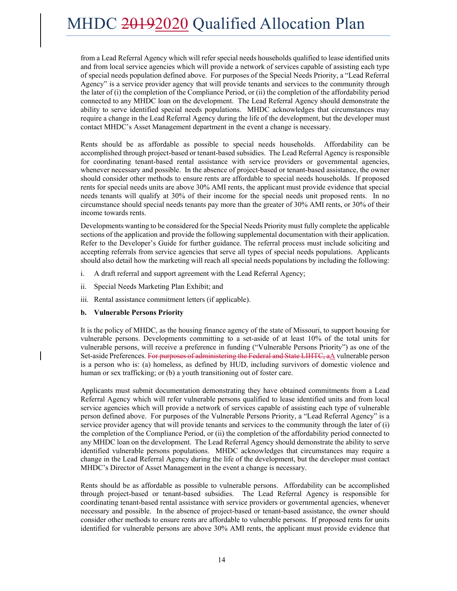from a Lead Referral Agency which will refer special needs households qualified to lease identified units and from local service agencies which will provide a network of services capable of assisting each type of special needs population defined above. For purposes of the Special Needs Priority, a "Lead Referral Agency" is a service provider agency that will provide tenants and services to the community through the later of (i) the completion of the Compliance Period, or (ii) the completion of the affordability period connected to any MHDC loan on the development. The Lead Referral Agency should demonstrate the ability to serve identified special needs populations. MHDC acknowledges that circumstances may require a change in the Lead Referral Agency during the life of the development, but the developer must contact MHDC's Asset Management department in the event a change is necessary.

Rents should be as affordable as possible to special needs households. Affordability can be accomplished through project-based or tenant-based subsidies. The Lead Referral Agency is responsible for coordinating tenant-based rental assistance with service providers or governmental agencies, whenever necessary and possible. In the absence of project-based or tenant-based assistance, the owner should consider other methods to ensure rents are affordable to special needs households. If proposed rents for special needs units are above 30% AMI rents, the applicant must provide evidence that special needs tenants will qualify at 30% of their income for the special needs unit proposed rents. In no circumstance should special needs tenants pay more than the greater of 30% AMI rents, or 30% of their income towards rents.

Developments wanting to be considered for the Special Needs Priority must fully complete the applicable sections of the application and provide the following supplemental documentation with their application. Refer to the Developer's Guide for further guidance. The referral process must include soliciting and accepting referrals from service agencies that serve all types of special needs populations. Applicants should also detail how the marketing will reach all special needs populations by including the following:

- i. A draft referral and support agreement with the Lead Referral Agency;
- ii. Special Needs Marketing Plan Exhibit; and
- iii. Rental assistance commitment letters (if applicable).

#### **b. Vulnerable Persons Priority**

It is the policy of MHDC, as the housing finance agency of the state of Missouri, to support housing for vulnerable persons. Developments committing to a set-aside of at least 10% of the total units for vulnerable persons, will receive a preference in funding ("Vulnerable Persons Priority") as one of the Set-aside Preferences. For purposes of administering the Federal and State LIHTC, aA vulnerable person is a person who is: (a) homeless, as defined by HUD, including survivors of domestic violence and human or sex trafficking; or (b) a youth transitioning out of foster care.

Applicants must submit documentation demonstrating they have obtained commitments from a Lead Referral Agency which will refer vulnerable persons qualified to lease identified units and from local service agencies which will provide a network of services capable of assisting each type of vulnerable person defined above. For purposes of the Vulnerable Persons Priority, a "Lead Referral Agency" is a service provider agency that will provide tenants and services to the community through the later of (i) the completion of the Compliance Period, or (ii) the completion of the affordability period connected to any MHDC loan on the development. The Lead Referral Agency should demonstrate the ability to serve identified vulnerable persons populations. MHDC acknowledges that circumstances may require a change in the Lead Referral Agency during the life of the development, but the developer must contact MHDC's Director of Asset Management in the event a change is necessary.

Rents should be as affordable as possible to vulnerable persons. Affordability can be accomplished through project-based or tenant-based subsidies. The Lead Referral Agency is responsible for coordinating tenant-based rental assistance with service providers or governmental agencies, whenever necessary and possible. In the absence of project-based or tenant-based assistance, the owner should consider other methods to ensure rents are affordable to vulnerable persons. If proposed rents for units identified for vulnerable persons are above 30% AMI rents, the applicant must provide evidence that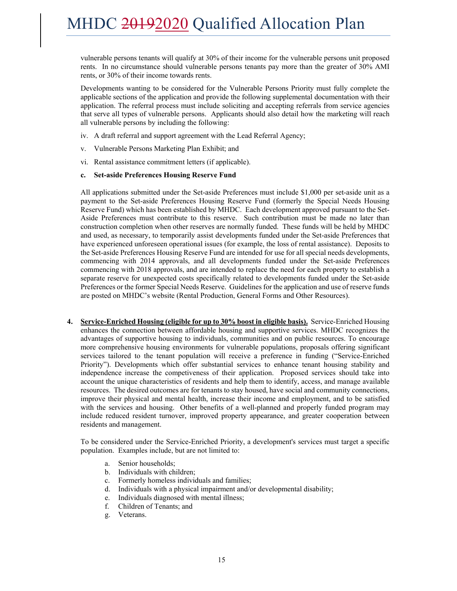vulnerable persons tenants will qualify at 30% of their income for the vulnerable persons unit proposed rents. In no circumstance should vulnerable persons tenants pay more than the greater of 30% AMI rents, or 30% of their income towards rents.

Developments wanting to be considered for the Vulnerable Persons Priority must fully complete the applicable sections of the application and provide the following supplemental documentation with their application. The referral process must include soliciting and accepting referrals from service agencies that serve all types of vulnerable persons. Applicants should also detail how the marketing will reach all vulnerable persons by including the following:

- iv. A draft referral and support agreement with the Lead Referral Agency;
- v. Vulnerable Persons Marketing Plan Exhibit; and
- vi. Rental assistance commitment letters (if applicable).

#### **c. Set-aside Preferences Housing Reserve Fund**

All applications submitted under the Set-aside Preferences must include \$1,000 per set-aside unit as a payment to the Set-aside Preferences Housing Reserve Fund (formerly the Special Needs Housing Reserve Fund) which has been established by MHDC. Each development approved pursuant to the Set-Aside Preferences must contribute to this reserve. Such contribution must be made no later than construction completion when other reserves are normally funded. These funds will be held by MHDC and used, as necessary, to temporarily assist developments funded under the Set-aside Preferences that have experienced unforeseen operational issues (for example, the loss of rental assistance). Deposits to the Set-aside Preferences Housing Reserve Fund are intended for use for all special needs developments, commencing with 2014 approvals, and all developments funded under the Set-aside Preferences commencing with 2018 approvals, and are intended to replace the need for each property to establish a separate reserve for unexpected costs specifically related to developments funded under the Set-aside Preferences or the former Special Needs Reserve. Guidelines for the application and use of reserve funds are posted on MHDC's website (Rental Production, General Forms and Other Resources).

**4. Service-Enriched Housing (eligible for up to 30% boost in eligible basis).** Service-Enriched Housing enhances the connection between affordable housing and supportive services. MHDC recognizes the advantages of supportive housing to individuals, communities and on public resources. To encourage more comprehensive housing environments for vulnerable populations, proposals offering significant services tailored to the tenant population will receive a preference in funding ("Service-Enriched Priority"). Developments which offer substantial services to enhance tenant housing stability and independence increase the competiveness of their application. Proposed services should take into account the unique characteristics of residents and help them to identify, access, and manage available resources. The desired outcomes are for tenants to stay housed, have social and community connections, improve their physical and mental health, increase their income and employment, and to be satisfied with the services and housing. Other benefits of a well-planned and properly funded program may include reduced resident turnover, improved property appearance, and greater cooperation between residents and management.

To be considered under the Service-Enriched Priority, a development's services must target a specific population. Examples include, but are not limited to:

- a. Senior households;
- b. Individuals with children;
- c. Formerly homeless individuals and families;
- d. Individuals with a physical impairment and/or developmental disability;
- e. Individuals diagnosed with mental illness;
- f. Children of Tenants; and
- g. Veterans.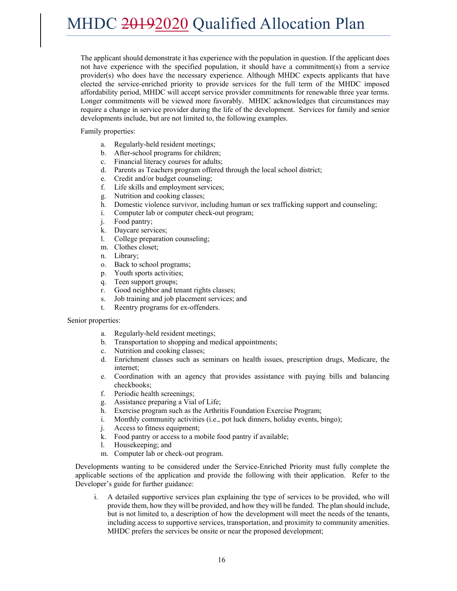The applicant should demonstrate it has experience with the population in question. If the applicant does not have experience with the specified population, it should have a commitment(s) from a service provider(s) who does have the necessary experience. Although MHDC expects applicants that have elected the service-enriched priority to provide services for the full term of the MHDC imposed affordability period, MHDC will accept service provider commitments for renewable three year terms. Longer commitments will be viewed more favorably. MHDC acknowledges that circumstances may require a change in service provider during the life of the development. Services for family and senior developments include, but are not limited to, the following examples.

Family properties:

- a. Regularly-held resident meetings;
- b. After-school programs for children;
- c. Financial literacy courses for adults;
- d. Parents as Teachers program offered through the local school district;
- e. Credit and/or budget counseling;
- f. Life skills and employment services;
- g. Nutrition and cooking classes;
- h. Domestic violence survivor, including human or sex trafficking support and counseling;
- i. Computer lab or computer check-out program;
- j. Food pantry;
- k. Daycare services;
- l. College preparation counseling;
- m. Clothes closet;
- n. Library;
- o. Back to school programs;
- p. Youth sports activities;
- q. Teen support groups;
- r. Good neighbor and tenant rights classes;
- s. Job training and job placement services; and
- t. Reentry programs for ex-offenders.

#### Senior properties:

- a. Regularly-held resident meetings;
- b. Transportation to shopping and medical appointments;
- c. Nutrition and cooking classes;
- d. Enrichment classes such as seminars on health issues, prescription drugs, Medicare, the internet;
- e. Coordination with an agency that provides assistance with paying bills and balancing checkbooks;
- f. Periodic health screenings;
- g. Assistance preparing a Vial of Life;
- h. Exercise program such as the Arthritis Foundation Exercise Program;
- i. Monthly community activities (i.e., pot luck dinners, holiday events, bingo);
- j. Access to fitness equipment;
- k. Food pantry or access to a mobile food pantry if available;
- l. Housekeeping; and
- m. Computer lab or check-out program.

Developments wanting to be considered under the Service-Enriched Priority must fully complete the applicable sections of the application and provide the following with their application. Refer to the Developer's guide for further guidance:

i. A detailed supportive services plan explaining the type of services to be provided, who will provide them, how they will be provided, and how they will be funded. The plan should include, but is not limited to, a description of how the development will meet the needs of the tenants, including access to supportive services, transportation, and proximity to community amenities. MHDC prefers the services be onsite or near the proposed development;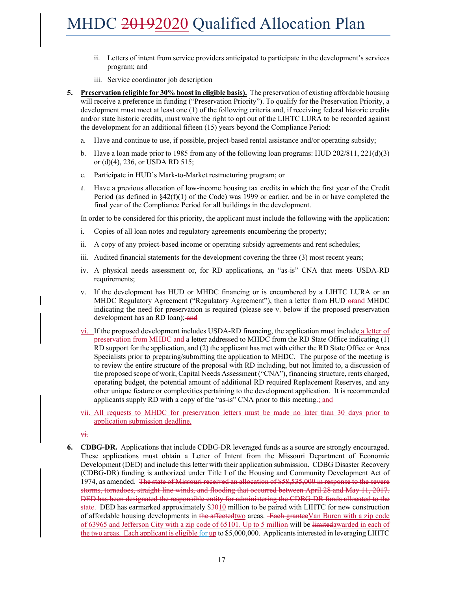- ii. Letters of intent from service providers anticipated to participate in the development's services program; and
- iii. Service coordinator job description
- **5. Preservation (eligible for 30% boost in eligible basis).** The preservation of existing affordable housing will receive a preference in funding ("Preservation Priority"). To qualify for the Preservation Priority, a development must meet at least one (1) of the following criteria and, if receiving federal historic credits and/or state historic credits, must waive the right to opt out of the LIHTC LURA to be recorded against the development for an additional fifteen (15) years beyond the Compliance Period:
	- a. Have and continue to use, if possible, project-based rental assistance and/or operating subsidy;
	- b. Have a loan made prior to 1985 from any of the following loan programs: HUD 202/811, 221(d)(3) or (d)(4), 236, or USDA RD 515;
	- c. Participate in HUD's Mark-to-Market restructuring program; or
	- d. Have a previous allocation of low-income housing tax credits in which the first year of the Credit Period (as defined in  $\S42(f)(1)$  of the Code) was 1999 or earlier, and be in or have completed the final year of the Compliance Period for all buildings in the development.

In order to be considered for this priority, the applicant must include the following with the application:

- i. Copies of all loan notes and regulatory agreements encumbering the property;
- ii. A copy of any project-based income or operating subsidy agreements and rent schedules;
- iii. Audited financial statements for the development covering the three (3) most recent years;
- iv. A physical needs assessment or, for RD applications, an "as-is" CNA that meets USDA-RD requirements;
- v. If the development has HUD or MHDC financing or is encumbered by a LIHTC LURA or an MHDC Regulatory Agreement ("Regulatory Agreement"), then a letter from HUD orand MHDC indicating the need for preservation is required (please see v. below if the proposed preservation development has an RD loan); and
- vi. If the proposed development includes USDA-RD financing, the application must include a letter of preservation from MHDC and a letter addressed to MHDC from the RD State Office indicating (1) RD support for the application, and (2) the applicant has met with either the RD State Office or Area Specialists prior to preparing/submitting the application to MHDC. The purpose of the meeting is to review the entire structure of the proposal with RD including, but not limited to, a discussion of the proposed scope of work, Capital Needs Assessment ("CNA"), financing structure, rents charged, operating budget, the potential amount of additional RD required Replacement Reserves, and any other unique feature or complexities pertaining to the development application. It is recommended applicants supply RD with a copy of the "as-is" CNA prior to this meeting.; and
- vii. All requests to MHDC for preservation letters must be made no later than 30 days prior to application submission deadline.

vi.

**6. CDBG-DR.** Applications that include CDBG-DR leveraged funds as a source are strongly encouraged. These applications must obtain a Letter of Intent from the Missouri Department of Economic Development (DED) and include this letter with their application submission. CDBG Disaster Recovery (CDBG-DR) funding is authorized under Title I of the Housing and Community Development Act of 1974, as amended. The state of Missouri received an allocation of \$58,535,000 in response to the severe storms, tornadoes, straight-line winds, and flooding that occurred between April 28 and May 11, 2017. DED has been designated the responsible entity for administering the CDBG-DR funds allocated to the state. DED has earmarked approximately \$3010 million to be paired with LIHTC for new construction of affordable housing developments in the affectedtwo areas. Each granteeVan Buren with a zip code of 63965 and Jefferson City with a zip code of 65101. Up to 5 million will be limitedawarded in each of the two areas. Each applicant is eligible for up to \$5,000,000. Applicants interested in leveraging LIHTC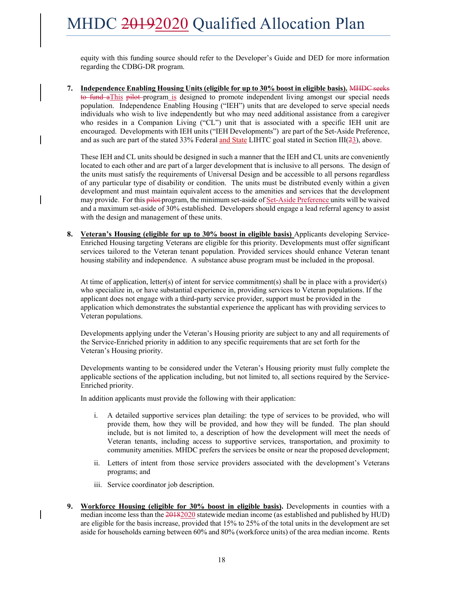equity with this funding source should refer to the Developer's Guide and DED for more information regarding the CDBG-DR program.

**7. Independence Enabling Housing Units (eligible for up to 30% boost in eligible basis).** MHDC seeks to fund aThis pilot program is designed to promote independent living amongst our special needs population. Independence Enabling Housing ("IEH") units that are developed to serve special needs individuals who wish to live independently but who may need additional assistance from a caregiver who resides in a Companion Living ("CL") unit that is associated with a specific IEH unit are encouraged. Developments with IEH units ("IEH Developments") are part of the Set-Aside Preference, and as such are part of the stated 33% Federal and State LIHTC goal stated in Section III( $23$ ), above.

These IEH and CL units should be designed in such a manner that the IEH and CL units are conveniently located to each other and are part of a larger development that is inclusive to all persons. The design of the units must satisfy the requirements of Universal Design and be accessible to all persons regardless of any particular type of disability or condition. The units must be distributed evenly within a given development and must maintain equivalent access to the amenities and services that the development may provide. For this pilot program, the minimum set-aside of Set-Aside Preference units will be waived and a maximum set-aside of 30% established. Developers should engage a lead referral agency to assist with the design and management of these units.

**8. Veteran's Housing (eligible for up to 30% boost in eligible basis)** Applicants developing Service-Enriched Housing targeting Veterans are eligible for this priority. Developments must offer significant services tailored to the Veteran tenant population. Provided services should enhance Veteran tenant housing stability and independence. A substance abuse program must be included in the proposal.

At time of application, letter(s) of intent for service commitment(s) shall be in place with a provider(s) who specialize in, or have substantial experience in, providing services to Veteran populations. If the applicant does not engage with a third-party service provider, support must be provided in the application which demonstrates the substantial experience the applicant has with providing services to Veteran populations.

Developments applying under the Veteran's Housing priority are subject to any and all requirements of the Service-Enriched priority in addition to any specific requirements that are set forth for the Veteran's Housing priority.

Developments wanting to be considered under the Veteran's Housing priority must fully complete the applicable sections of the application including, but not limited to, all sections required by the Service-Enriched priority.

In addition applicants must provide the following with their application:

- i. A detailed supportive services plan detailing: the type of services to be provided, who will provide them, how they will be provided, and how they will be funded. The plan should include, but is not limited to, a description of how the development will meet the needs of Veteran tenants, including access to supportive services, transportation, and proximity to community amenities. MHDC prefers the services be onsite or near the proposed development;
- ii. Letters of intent from those service providers associated with the development's Veterans programs; and
- iii. Service coordinator job description.
- **9. Workforce Housing (eligible for 30% boost in eligible basis).** Developments in counties with a median income less than the  $20182020$  statewide median income (as established and published by HUD) are eligible for the basis increase, provided that 15% to 25% of the total units in the development are set aside for households earning between 60% and 80% (workforce units) of the area median income. Rents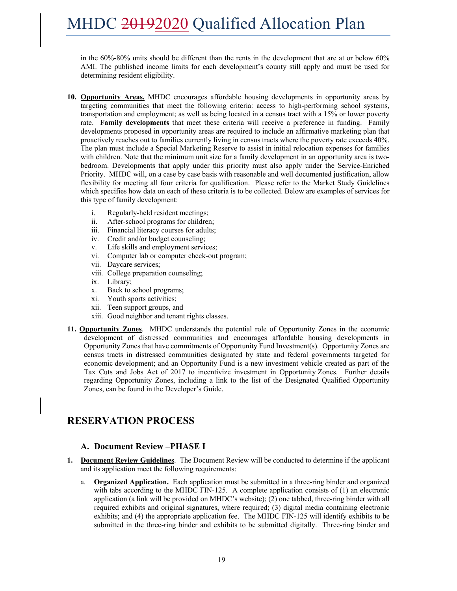in the 60%-80% units should be different than the rents in the development that are at or below 60% AMI. The published income limits for each development's county still apply and must be used for determining resident eligibility.

- **10. Opportunity Areas.** MHDC encourages affordable housing developments in opportunity areas by targeting communities that meet the following criteria: access to high-performing school systems, transportation and employment; as well as being located in a census tract with a 15% or lower poverty rate. **Family developments** that meet these criteria will receive a preference in funding. Family developments proposed in opportunity areas are required to include an affirmative marketing plan that proactively reaches out to families currently living in census tracts where the poverty rate exceeds 40%. The plan must include a Special Marketing Reserve to assist in initial relocation expenses for families with children. Note that the minimum unit size for a family development in an opportunity area is twobedroom. Developments that apply under this priority must also apply under the Service-Enriched Priority. MHDC will, on a case by case basis with reasonable and well documented justification, allow flexibility for meeting all four criteria for qualification. Please refer to the Market Study Guidelines which specifies how data on each of these criteria is to be collected. Below are examples of services for this type of family development:
	- i. Regularly-held resident meetings;
	- ii. After-school programs for children;
	- iii. Financial literacy courses for adults;
	- iv. Credit and/or budget counseling;
	- v. Life skills and employment services;
	- vi. Computer lab or computer check-out program;
	- vii. Daycare services;
	- viii. College preparation counseling;
	- ix. Library;
	- x. Back to school programs;
	- xi. Youth sports activities;
	- xii. Teen support groups, and
	- xiii. Good neighbor and tenant rights classes.
- **11. Opportunity Zones**. MHDC understands the potential role of Opportunity Zones in the economic development of distressed communities and encourages affordable housing developments in Opportunity Zones that have commitments of Opportunity Fund Investment(s). Opportunity Zones are census tracts in distressed communities designated by state and federal governments targeted for economic development; and an Opportunity Fund is a new investment vehicle created as part of the Tax Cuts and Jobs Act of 2017 to incentivize investment in Opportunity Zones. Further details regarding Opportunity Zones, including a link to the list of the Designated Qualified Opportunity Zones, can be found in the Developer's Guide.

### **RESERVATION PROCESS**

#### **A. Document Review –PHASE I**

- **1. Document Review Guidelines**. The Document Review will be conducted to determine if the applicant and its application meet the following requirements:
	- a. **Organized Application.** Each application must be submitted in a three-ring binder and organized with tabs according to the MHDC FIN-125. A complete application consists of (1) an electronic application (a link will be provided on MHDC's website); (2) one tabbed, three-ring binder with all required exhibits and original signatures, where required; (3) digital media containing electronic exhibits; and (4) the appropriate application fee. The MHDC FIN-125 will identify exhibits to be submitted in the three-ring binder and exhibits to be submitted digitally. Three-ring binder and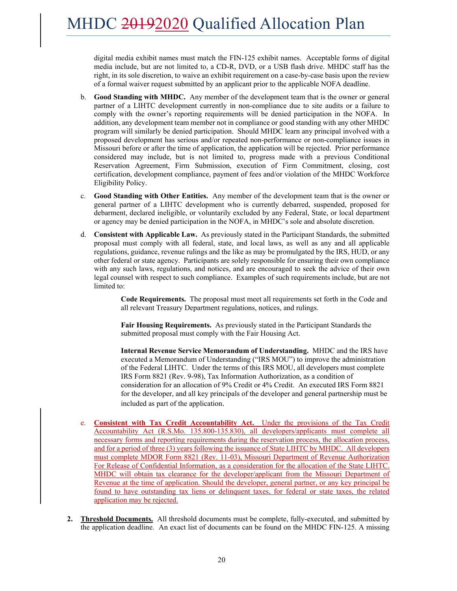digital media exhibit names must match the FIN-125 exhibit names. Acceptable forms of digital media include, but are not limited to, a CD-R, DVD, or a USB flash drive. MHDC staff has the right, in its sole discretion, to waive an exhibit requirement on a case-by-case basis upon the review of a formal waiver request submitted by an applicant prior to the applicable NOFA deadline.

- b. **Good Standing with MHDC.** Any member of the development team that is the owner or general partner of a LIHTC development currently in non-compliance due to site audits or a failure to comply with the owner's reporting requirements will be denied participation in the NOFA. In addition, any development team member not in compliance or good standing with any other MHDC program will similarly be denied participation. Should MHDC learn any principal involved with a proposed development has serious and/or repeated non-performance or non-compliance issues in Missouri before or after the time of application, the application will be rejected. Prior performance considered may include, but is not limited to, progress made with a previous Conditional Reservation Agreement, Firm Submission, execution of Firm Commitment, closing, cost certification, development compliance, payment of fees and/or violation of the MHDC Workforce Eligibility Policy.
- c. **Good Standing with Other Entities.** Any member of the development team that is the owner or general partner of a LIHTC development who is currently debarred, suspended, proposed for debarment, declared ineligible, or voluntarily excluded by any Federal, State, or local department or agency may be denied participation in the NOFA, in MHDC's sole and absolute discretion.
- d. **Consistent with Applicable Law.** As previously stated in the Participant Standards, the submitted proposal must comply with all federal, state, and local laws, as well as any and all applicable regulations, guidance, revenue rulings and the like as may be promulgated by the IRS, HUD, or any other federal or state agency. Participants are solely responsible for ensuring their own compliance with any such laws, regulations, and notices, and are encouraged to seek the advice of their own legal counsel with respect to such compliance. Examples of such requirements include, but are not limited to:

**Code Requirements.** The proposal must meet all requirements set forth in the Code and all relevant Treasury Department regulations, notices, and rulings.

**Fair Housing Requirements.** As previously stated in the Participant Standards the submitted proposal must comply with the Fair Housing Act.

**Internal Revenue Service Memorandum of Understanding.** MHDC and the IRS have executed a Memorandum of Understanding ("IRS MOU") to improve the administration of the Federal LIHTC. Under the terms of this IRS MOU, all developers must complete IRS Form 8821 (Rev. 9-98), Tax Information Authorization, as a condition of consideration for an allocation of 9% Credit or 4% Credit. An executed IRS Form 8821 for the developer, and all key principals of the developer and general partnership must be included as part of the application.

- e. **Consistent with Tax Credit Accountability Act.** Under the provisions of the Tax Credit Accountability Act (R.S.Mo. 135.800-135.830), all developers/applicants must complete all necessary forms and reporting requirements during the reservation process, the allocation process, and for a period of three (3) years following the issuance of State LIHTC by MHDC. All developers must complete MDOR Form 8821 (Rev. 11-03), Missouri Department of Revenue Authorization For Release of Confidential Information, as a consideration for the allocation of the State LIHTC. MHDC will obtain tax clearance for the developer/applicant from the Missouri Department of Revenue at the time of application. Should the developer, general partner, or any key principal be found to have outstanding tax liens or delinquent taxes, for federal or state taxes, the related application may be rejected.
- **2. Threshold Documents.** All threshold documents must be complete, fully-executed, and submitted by the application deadline. An exact list of documents can be found on the MHDC FIN-125. A missing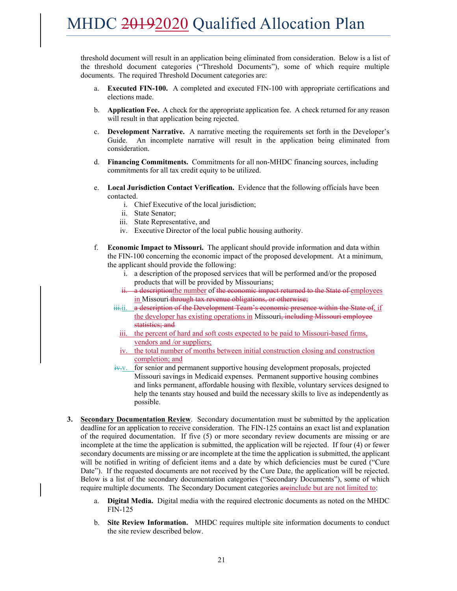threshold document will result in an application being eliminated from consideration. Below is a list of the threshold document categories ("Threshold Documents"), some of which require multiple documents. The required Threshold Document categories are:

- **Executed FIN-100.** A completed and executed FIN-100 with appropriate certifications and elections made.
- b. **Application Fee.** A check for the appropriate application fee. A check returned for any reason will result in that application being rejected.
- c. **Development Narrative.** A narrative meeting the requirements set forth in the Developer's Guide. An incomplete narrative will result in the application being eliminated from consideration.
- d. **Financing Commitments.** Commitments for all non-MHDC financing sources, including commitments for all tax credit equity to be utilized.
- e. **Local Jurisdiction Contact Verification.** Evidence that the following officials have been contacted.
	- i. Chief Executive of the local jurisdiction;
	- ii. State Senator;
	- iii. State Representative, and
	- iv. Executive Director of the local public housing authority.
- f. **Economic Impact to Missouri.** The applicant should provide information and data within the FIN-100 concerning the economic impact of the proposed development. At a minimum, the applicant should provide the following:
	- i. a description of the proposed services that will be performed and/or the proposed products that will be provided by Missourians;
	- ii. a description the number of the economic impact returned to the State of employees in Missouri-through tax revenue obligations, or otherwise;
	- iii.ii. a description of the Development Team's economic presence within the State of, if the developer has existing operations in Missouri, including Missouri employee statistics; and
		- iii. the percent of hard and soft costs expected to be paid to Missouri-based firms, vendors and /or suppliers;
	- iv. the total number of months between initial construction closing and construction completion; and
	- $iv$ . for senior and permanent supportive housing development proposals, projected Missouri savings in Medicaid expenses. Permanent supportive housing combines and links permanent, affordable housing with flexible, voluntary services designed to help the tenants stay housed and build the necessary skills to live as independently as possible.
- **3. Secondary Documentation Review**. Secondary documentation must be submitted by the application deadline for an application to receive consideration. The FIN-125 contains an exact list and explanation of the required documentation. If five (5) or more secondary review documents are missing or are incomplete at the time the application is submitted, the application will be rejected. If four (4) or fewer secondary documents are missing or are incomplete at the time the application is submitted, the applicant will be notified in writing of deficient items and a date by which deficiencies must be cured ("Cure Date"). If the requested documents are not received by the Cure Date, the application will be rejected. Below is a list of the secondary documentation categories ("Secondary Documents"), some of which require multiple documents. The Secondary Document categories areinclude but are not limited to:
	- a. **Digital Media.** Digital media with the required electronic documents as noted on the MHDC FIN-125
	- b. **Site Review Information.** MHDC requires multiple site information documents to conduct the site review described below.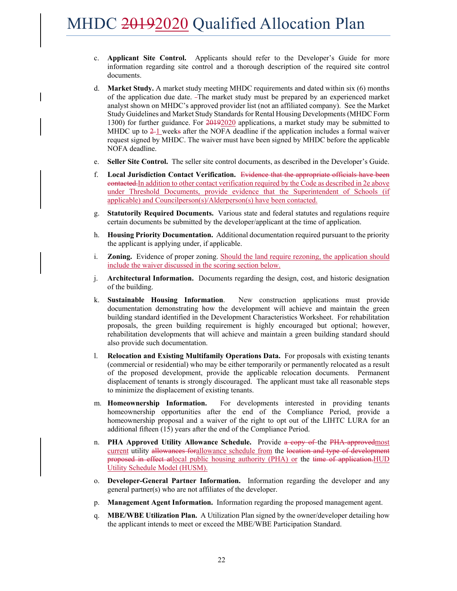- c. **Applicant Site Control.** Applicants should refer to the Developer's Guide for more information regarding site control and a thorough description of the required site control documents.
- d. **Market Study.** A market study meeting MHDC requirements and dated within six (6) months of the application due date. The market study must be prepared by an experienced market analyst shown on MHDC's approved provider list (not an affiliated company). See the Market Study Guidelines and Market Study Standards for Rental Housing Developments (MHDC Form 1300) for further guidance. For  $20192020$  applications, a market study may be submitted to MHDC up to  $2-1$  weeks after the NOFA deadline if the application includes a formal waiver request signed by MHDC. The waiver must have been signed by MHDC before the applicable NOFA deadline.
- e. **Seller Site Control.** The seller site control documents, as described in the Developer's Guide.
- f. **Local Jurisdiction Contact Verification.** Evidence that the appropriate officials have been contacted.In addition to other contact verification required by the Code as described in 2e above under Threshold Documents, provide evidence that the Superintendent of Schools (if applicable) and Councilperson(s)/Alderperson(s) have been contacted.
- g. **Statutorily Required Documents.** Various state and federal statutes and regulations require certain documents be submitted by the developer/applicant at the time of application.
- h. **Housing Priority Documentation.** Additional documentation required pursuant to the priority the applicant is applying under, if applicable.
- i. **Zoning.** Evidence of proper zoning. Should the land require rezoning, the application should include the waiver discussed in the scoring section below.
- j. **Architectural Information.** Documents regarding the design, cost, and historic designation of the building.
- k. **Sustainable Housing Information**. New construction applications must provide documentation demonstrating how the development will achieve and maintain the green building standard identified in the Development Characteristics Worksheet. For rehabilitation proposals, the green building requirement is highly encouraged but optional; however, rehabilitation developments that will achieve and maintain a green building standard should also provide such documentation.
- l. **Relocation and Existing Multifamily Operations Data.** For proposals with existing tenants (commercial or residential) who may be either temporarily or permanently relocated as a result of the proposed development, provide the applicable relocation documents. Permanent displacement of tenants is strongly discouraged. The applicant must take all reasonable steps to minimize the displacement of existing tenants.
- m. **Homeownership Information.** For developments interested in providing tenants homeownership opportunities after the end of the Compliance Period, provide a homeownership proposal and a waiver of the right to opt out of the LIHTC LURA for an additional fifteen (15) years after the end of the Compliance Period.
- n. **PHA Approved Utility Allowance Schedule.** Provide a copy of the PHA-approvedmost current utility allowances forallowance schedule from the location and type of development proposed in effect atlocal public housing authority (PHA) or the time of application.HUD Utility Schedule Model (HUSM).
- o. **Developer-General Partner Information.** Information regarding the developer and any general partner(s) who are not affiliates of the developer.
- p. **Management Agent Information.** Information regarding the proposed management agent.
- q. **MBE/WBE Utilization Plan.** A Utilization Plan signed by the owner/developer detailing how the applicant intends to meet or exceed the MBE/WBE Participation Standard.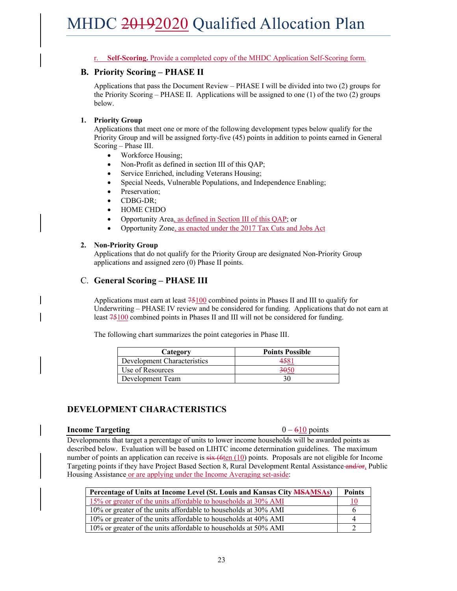r. **Self-Scoring.** Provide a completed copy of the MHDC Application Self-Scoring form.

#### **B. Priority Scoring – PHASE II**

Applications that pass the Document Review – PHASE I will be divided into two (2) groups for the Priority Scoring – PHASE II. Applications will be assigned to one  $(1)$  of the two  $(2)$  groups below.

#### **1. Priority Group**

Applications that meet one or more of the following development types below qualify for the Priority Group and will be assigned forty-five (45) points in addition to points earned in General Scoring – Phase III.

- Workforce Housing;
- Non-Profit as defined in section III of this QAP;
- Service Enriched, including Veterans Housing;
- Special Needs, Vulnerable Populations, and Independence Enabling;
- Preservation;
- CDBG-DR;
- HOME CHDO
- Opportunity Area, as defined in Section III of this QAP; or
- Opportunity Zone, as enacted under the 2017 Tax Cuts and Jobs Act

#### **2. Non-Priority Group**

Applications that do not qualify for the Priority Group are designated Non-Priority Group applications and assigned zero (0) Phase II points.

#### C. **General Scoring – PHASE III**

Applications must earn at least 75100 combined points in Phases II and III to qualify for Underwriting – PHASE IV review and be considered for funding. Applications that do not earn at least 75100 combined points in Phases II and III will not be considered for funding.

The following chart summarizes the point categories in Phase III.

| Category                    | <b>Points Possible</b> |
|-----------------------------|------------------------|
| Development Characteristics |                        |
| Use of Resources            |                        |
| Development Team            |                        |

### **DEVELOPMENT CHARACTERISTICS**

#### **Income Targeting** 0 – 610 points

Developments that target a percentage of units to lower income households will be awarded points as described below. Evaluation will be based on LIHTC income determination guidelines. The maximum number of points an application can receive is  $\frac{10}{10}$  points. Proposals are not eligible for Income Targeting points if they have Project Based Section 8, Rural Development Rental Assistance and/or, Public Housing Assistance or are applying under the Income Averaging set-aside:

| Percentage of Units at Income Level (St. Louis and Kansas City <b>MSAMSAs</b> ) | <b>Points</b> |
|---------------------------------------------------------------------------------|---------------|
| 15% or greater of the units affordable to households at 30% AMI                 |               |
| 10% or greater of the units affordable to households at 30% AMI                 |               |
| 10% or greater of the units affordable to households at 40% AMI                 |               |
| 10% or greater of the units affordable to households at 50% AMI                 |               |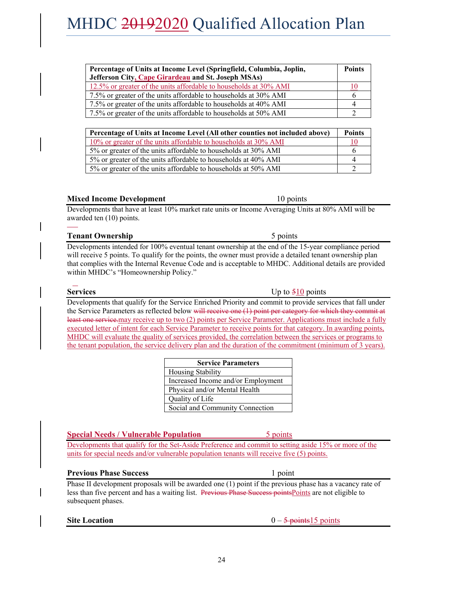| Percentage of Units at Income Level (Springfield, Columbia, Joplin,         |    |
|-----------------------------------------------------------------------------|----|
| Jefferson City, Cape Girardeau and St. Joseph MSAs)                         |    |
| 12.5% or greater of the units affordable to households at 30% AMI           | 10 |
| 7.5% or greater of the units affordable to households at 30% AMI            |    |
| 7.5% or greater of the units affordable to households at 40% AMI            |    |
| 7.5% or greater of the units affordable to households at 50% AMI            |    |
|                                                                             |    |
| Percentage of Units at Income Level (All other counties not included above) |    |
|                                                                             |    |

| Percentage of Units at Income Level (All other counties not included above) | Points |
|-----------------------------------------------------------------------------|--------|
| 10% or greater of the units affordable to households at 30% AMI             |        |
| 5% or greater of the units affordable to households at 30% AMI              |        |
| 5% or greater of the units affordable to households at 40% AMI              |        |
| 5% or greater of the units affordable to households at 50% AMI              |        |

#### **Mixed Income Development** 10 points

Developments that have at least 10% market rate units or Income Averaging Units at 80% AMI will be awarded ten (10) points.  $\overline{a}$ 

#### **Tenant Ownership** 5 points 5 points

Developments intended for 100% eventual tenant ownership at the end of the 15-year compliance period will receive 5 points. To qualify for the points, the owner must provide a detailed tenant ownership plan that complies with the Internal Revenue Code and is acceptable to MHDC. Additional details are provided within MHDC's "Homeownership Policy."

Developments that qualify for the Service Enriched Priority and commit to provide services that fall under the Service Parameters as reflected below will receive one (1) point per category for which they commit at least one service.may receive up to two (2) points per Service Parameter. Applications must include a fully executed letter of intent for each Service Parameter to receive points for that category. In awarding points, MHDC will evaluate the quality of services provided, the correlation between the services or programs to the tenant population, the service delivery plan and the duration of the commitment (minimum of 3 years).

| <b>Service Parameters</b>          |
|------------------------------------|
| <b>Housing Stability</b>           |
| Increased Income and/or Employment |
| Physical and/or Mental Health      |
| Quality of Life                    |
| Social and Community Connection    |

#### **Special Needs / Vulnerable Population** 5 points

Developments that qualify for the Set-Aside Preference and commit to setting aside 15% or more of the units for special needs and/or vulnerable population tenants will receive five (5) points.

#### **Previous Phase Success** 1 point

Phase II development proposals will be awarded one (1) point if the previous phase has a vacancy rate of less than five percent and has a waiting list. Previous Phase Success points Points are not eligible to subsequent phases.

**Site Location** 0 – 5 points 15 points

**Services** Up to  $\frac{510}{10}$  points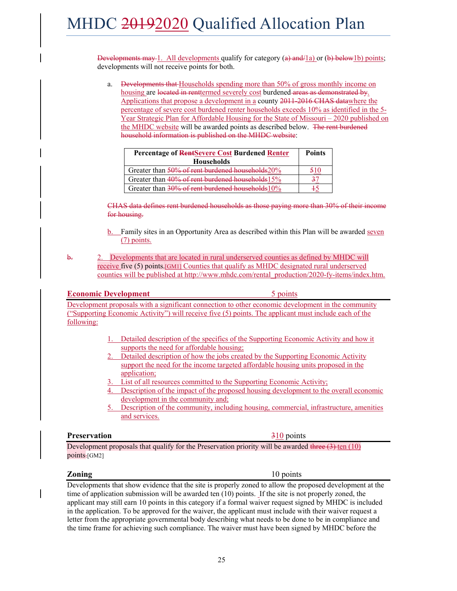Developments may 1. All developments qualify for category  $(a)$  and  $\ell$  and  $\ell$  and  $\ell$  below1b) points; developments will not receive points for both.

a. Developments that Households spending more than 50% of gross monthly income on housing are located in renttermed severely cost burdened areas as demonstrated by. Applications that propose a development in a county 2011-2016 CHAS datawhere the percentage of severe cost burdened renter households exceeds 10% as identified in the 5- Year Strategic Plan for Affordable Housing for the State of Missouri – 2020 published on the MHDC website will be awarded points as described below. The rent burdened household information is published on the MHDC website:

| Percentage of RentSevere Cost Burdened Renter<br><b>Households</b> | <b>Points</b> |
|--------------------------------------------------------------------|---------------|
| Greater than 50% of rent burdened households 20%                   |               |
| Greater than 40% of rent burdened households 15%                   |               |
| Greater than 30% of rent burdened households 10%                   |               |

CHAS data defines rent burdened households as those paying more than 30% of their income for housing.

- b. Family sites in an Opportunity Area as described within this Plan will be awarded seven (7) points.
- b. 2. Developments that are located in rural underserved counties as defined by MHDC will receive five (5) points.[GM1] Counties that qualify as MHDC designated rural underserved counties will be published at http://www.mhdc.com/rental\_production/2020-fy-items/index.htm.

#### **Economic Development** 5 points

Development proposals with a significant connection to other economic development in the community ("Supporting Economic Activity") will receive five (5) points. The applicant must include each of the following:

- 1. Detailed description of the specifics of the Supporting Economic Activity and how it supports the need for affordable housing;
- 2. Detailed description of how the jobs created by the Supporting Economic Activity support the need for the income targeted affordable housing units proposed in the application;
- 3. List of all resources committed to the Supporting Economic Activity;
- 4. Description of the impact of the proposed housing development to the overall economic development in the community and;
- 5. Description of the community, including housing, commercial, infrastructure, amenities and services.

#### **Preservation** 310 points

Development proposals that qualify for the Preservation priority will be awarded three  $(3)$  ten  $(10)$  $points$  $[GM2]$ 

#### **Zoning** 10 points

Developments that show evidence that the site is properly zoned to allow the proposed development at the time of application submission will be awarded ten (10) points. If the site is not properly zoned, the applicant may still earn 10 points in this category if a formal waiver request signed by MHDC is included in the application. To be approved for the waiver, the applicant must include with their waiver request a letter from the appropriate governmental body describing what needs to be done to be in compliance and the time frame for achieving such compliance. The waiver must have been signed by MHDC before the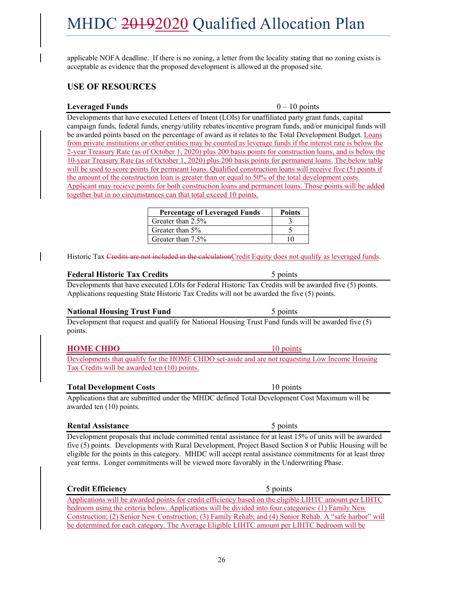26

MHDC 20192020 Qualified Allocation Plan

applicable NOFA deadline. If there is no zoning, a letter from the locality stating that no zoning exists is acceptable as evidence that the proposed development is allowed at the proposed site.

#### **USE OF RESOURCES**

#### Leveraged Funds 0 – 10 points

Developments that have executed Letters of Intent (LOIs) for unaffiliated party grant funds, capital campaign funds, federal funds, energy/utility rebates/incentive program funds, and/or municipal funds will be awarded points based on the percentage of award as it relates to the Total Development Budget. Loans from private institutions or other entities may be counted as leverage funds if the interest rate is below the 2-year Treasury Rate (as of October 1, 2020) plus 200 basis points for construction loans, and is below the 10-year Treasury Rate (as of October 1, 2020) plus 200 basis points for permanent loans. The below table will be used to score points for permeant loans. Qualified construction loans will receive five (5) points if the amount of the construction loan is greater than or equal to 50% of the total development costs. Applicant may recieve points for both construction loans and permanent loans. Those points will be added together but in no circumstances can that total exceed 10 points.

| <b>Percentage of Leveraged Funds</b> | <b>Points</b> |
|--------------------------------------|---------------|
| Greater than 2.5%                    |               |
| Greater than 5%                      |               |
| Greater than 7.5%                    |               |

Historic Tax Credits are not included in the calculationCredit Equity does not qualify as leveraged funds.

#### **Federal Historic Tax Credits** 5 points

Developments that have executed LOIs for Federal Historic Tax Credits will be awarded five (5) points. Applications requesting State Historic Tax Credits will not be awarded the five (5) points.

#### **National Housing Trust Fund** 5 points

Development that request and qualify for National Housing Trust Fund funds will be awarded five (5) points.

### **HOME CHDO** 10 points

Developments that qualify for the HOME CHDO set-aside and are not requesting Low Income Housing Tax Credits will be awarded ten (10) points.

#### **Total Development Costs** 10 points

Applications that are submitted under the MHDC defined Total Development Cost Maximum will be awarded ten (10) points.

#### **Rental Assistance** 5 points

Development proposals that include committed rental assistance for at least 15% of units will be awarded five (5) points. Developments with Rural Development, Project Based Section 8 or Public Housing will be eligible for the points in this category. MHDC will accept rental assistance commitments for at least three year terms. Longer commitments will be viewed more favorably in the Underwriting Phase.

### **Credit Efficiency** 5 points

Applications will be awarded points for credit efficiency based on the eligible LIHTC amount per LIHTC bedroom using the criteria below. Applications will be divided into four categories: (1) Family New Construction; (2) Senior New Construction; (3) Family Rehab; and (4) Senior Rehab. A "safe harbor" will be determined for each category. The Average Eligible LIHTC amount per LIHTC bedroom will be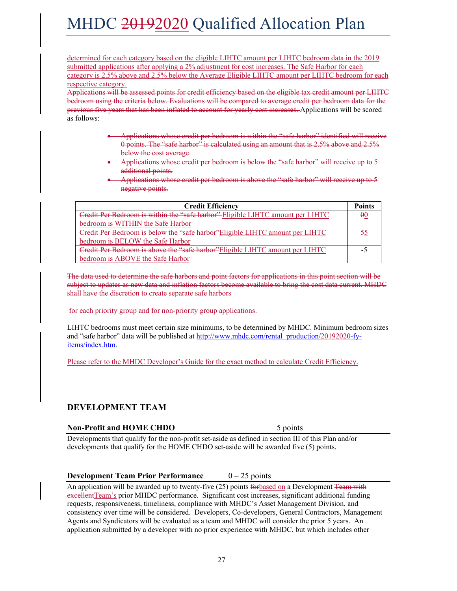determined for each category based on the eligible LIHTC amount per LIHTC bedroom data in the 2019 submitted applications after applying a 2% adjustment for cost increases. The Safe Harbor for each category is 2.5% above and 2.5% below the Average Eligible LIHTC amount per LIHTC bedroom for each respective category.

Applications will be assessed points for credit efficiency based on the eligible tax credit amount per LIHTC bedroom using the criteria below. Evaluations will be compared to average credit per bedroom data for the previous five years that has been inflated to account for yearly cost increases. Applications will be scored as follows:

- Applications whose credit per bedroom is within the "safe harbor" identified will receive 0 points. The "safe harbor" is calculated using an amount that is 2.5% above and 2.5% below the cost average.
- Applications whose credit per bedroom is below the "safe harbor" will receive up to 5 additional points.
- Applications whose credit per bedroom is above the "safe harbor" will receive up to 5 negative points.

| <b>Credit Efficiency</b>                                                       | <b>Points</b> |
|--------------------------------------------------------------------------------|---------------|
| Credit Per Bedroom is within the "safe harbor" Eligible LIHTC amount per LIHTC | $\theta$ 0    |
| bedroom is WITHIN the Safe Harbor                                              |               |
| Credit Per Bedroom is below the "safe harbor" Eligible LIHTC amount per LIHTC  | 55            |
| bedroom is BELOW the Safe Harbor                                               |               |
| Credit Per Bedroom is above the "safe harbor" Eligible LIHTC amount per LIHTC  | - 1           |
| bedroom is ABOVE the Safe Harbor                                               |               |

The data used to determine the safe harbors and point factors for applications in this point section will be subject to updates as new data and inflation factors become available to bring the cost data current. MHDC shall have the discretion to create separate safe harbors

#### for each priority group and for non-priority group applications.

LIHTC bedrooms must meet certain size minimums, to be determined by MHDC. Minimum bedroom sizes and "safe harbor" data will be published at http://www.mhdc.com/rental\_production/20192020-fyitems/index.htm.

Please refer to the MHDC Developer's Guide for the exact method to calculate Credit Efficiency.

#### **DEVELOPMENT TEAM**

#### **Non-Profit and HOME CHDO** 5 points

Developments that qualify for the non-profit set-aside as defined in section III of this Plan and/or developments that qualify for the HOME CHDO set-aside will be awarded five (5) points.

#### **Development Team Prior Performance**  $0-25$  points

An application will be awarded up to twenty-five (25) points for based on a Development Team with excellent Team's prior MHDC performance. Significant cost increases, significant additional funding requests, responsiveness, timeliness, compliance with MHDC's Asset Management Division, and consistency over time will be considered. Developers, Co-developers, General Contractors, Management Agents and Syndicators will be evaluated as a team and MHDC will consider the prior 5 years. An application submitted by a developer with no prior experience with MHDC, but which includes other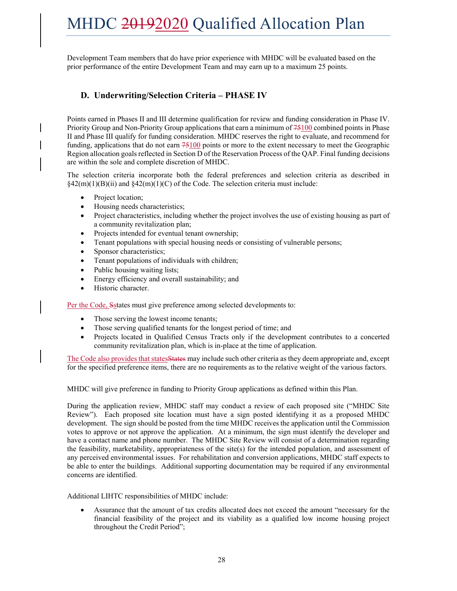Development Team members that do have prior experience with MHDC will be evaluated based on the prior performance of the entire Development Team and may earn up to a maximum 25 points.

### **D. Underwriting/Selection Criteria – PHASE IV**

Points earned in Phases II and III determine qualification for review and funding consideration in Phase IV. Priority Group and Non-Priority Group applications that earn a minimum of 75100 combined points in Phase II and Phase III qualify for funding consideration. MHDC reserves the right to evaluate, and recommend for funding, applications that do not earn  $75100$  points or more to the extent necessary to meet the Geographic Region allocation goals reflected in Section D of the Reservation Process of the QAP. Final funding decisions are within the sole and complete discretion of MHDC.

The selection criteria incorporate both the federal preferences and selection criteria as described in §42(m)(1)(B)(ii) and §42(m)(1)(C) of the Code. The selection criteria must include:

- Project location;
- Housing needs characteristics;
- Project characteristics, including whether the project involves the use of existing housing as part of a community revitalization plan;
- Projects intended for eventual tenant ownership;
- Tenant populations with special housing needs or consisting of vulnerable persons;
- Sponsor characteristics;
- Tenant populations of individuals with children;
- Public housing waiting lists;
- Energy efficiency and overall sustainability; and
- Historic character.

Per the Code, Sstates must give preference among selected developments to:

- Those serving the lowest income tenants;
- Those serving qualified tenants for the longest period of time; and
- Projects located in Qualified Census Tracts only if the development contributes to a concerted community revitalization plan, which is in-place at the time of application.

The Code also provides that states States may include such other criteria as they deem appropriate and, except for the specified preference items, there are no requirements as to the relative weight of the various factors.

MHDC will give preference in funding to Priority Group applications as defined within this Plan.

During the application review, MHDC staff may conduct a review of each proposed site ("MHDC Site Review"). Each proposed site location must have a sign posted identifying it as a proposed MHDC development. The sign should be posted from the time MHDC receives the application until the Commission votes to approve or not approve the application. At a minimum, the sign must identify the developer and have a contact name and phone number. The MHDC Site Review will consist of a determination regarding the feasibility, marketability, appropriateness of the site(s) for the intended population, and assessment of any perceived environmental issues. For rehabilitation and conversion applications, MHDC staff expects to be able to enter the buildings. Additional supporting documentation may be required if any environmental concerns are identified.

Additional LIHTC responsibilities of MHDC include:

 Assurance that the amount of tax credits allocated does not exceed the amount "necessary for the financial feasibility of the project and its viability as a qualified low income housing project throughout the Credit Period";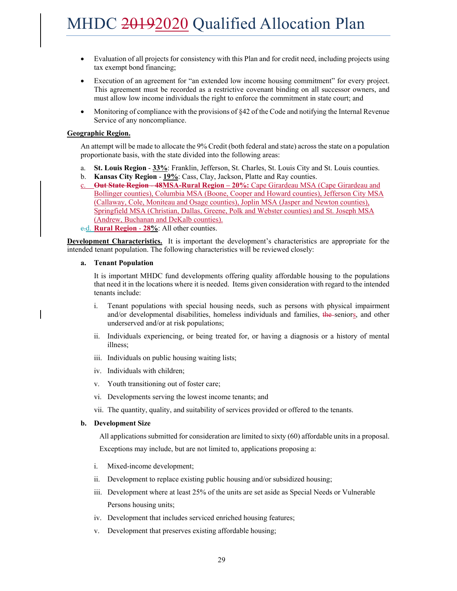- Evaluation of all projects for consistency with this Plan and for credit need, including projects using tax exempt bond financing;
- Execution of an agreement for "an extended low income housing commitment" for every project. This agreement must be recorded as a restrictive covenant binding on all successor owners, and must allow low income individuals the right to enforce the commitment in state court; and
- Monitoring of compliance with the provisions of  $\S 42$  of the Code and notifying the Internal Revenue Service of any noncompliance.

#### **Geographic Region.**

An attempt will be made to allocate the 9% Credit (both federal and state) across the state on a population proportionate basis, with the state divided into the following areas:

- a. **St. Louis Region 33%**: Franklin, Jefferson, St. Charles, St. Louis City and St. Louis counties.
- b. **Kansas City Region 19%**: Cass, Clay, Jackson, Platte and Ray counties.
- c. **Out State Region 48MSA-Rural Region 20%:** Cape Girardeau MSA (Cape Girardeau and Bollinger counties), Columbia MSA (Boone, Cooper and Howard counties), Jefferson City MSA (Callaway, Cole, Moniteau and Osage counties), Joplin MSA (Jasper and Newton counties), Springfield MSA (Christian, Dallas, Greene, Polk and Webster counties) and St. Joseph MSA (Andrew, Buchanan and DeKalb counties).
- c.d. **Rural Region 28%**: All other counties.

**Development Characteristics.** It is important the development's characteristics are appropriate for the intended tenant population. The following characteristics will be reviewed closely:

#### **a. Tenant Population**

It is important MHDC fund developments offering quality affordable housing to the populations that need it in the locations where it is needed. Items given consideration with regard to the intended tenants include:

- i. Tenant populations with special housing needs, such as persons with physical impairment and/or developmental disabilities, homeless individuals and families, the seniors, and other underserved and/or at risk populations;
- ii. Individuals experiencing, or being treated for, or having a diagnosis or a history of mental illness;
- iii. Individuals on public housing waiting lists;
- iv. Individuals with children;
- v. Youth transitioning out of foster care;
- vi. Developments serving the lowest income tenants; and
- vii. The quantity, quality, and suitability of services provided or offered to the tenants.

#### **b. Development Size**

All applications submitted for consideration are limited to sixty (60) affordable units in a proposal.

Exceptions may include, but are not limited to, applications proposing a:

- i. Mixed-income development;
- ii. Development to replace existing public housing and/or subsidized housing;
- iii. Development where at least 25% of the units are set aside as Special Needs or Vulnerable Persons housing units;
- iv. Development that includes serviced enriched housing features;
- v. Development that preserves existing affordable housing;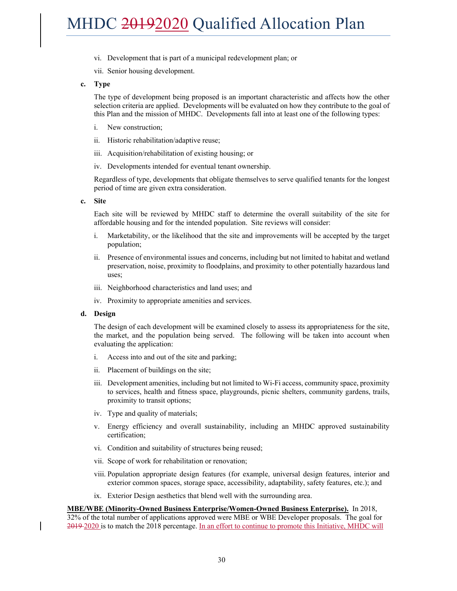- vi. Development that is part of a municipal redevelopment plan; or
- vii. Senior housing development.
- **c. Type**

The type of development being proposed is an important characteristic and affects how the other selection criteria are applied. Developments will be evaluated on how they contribute to the goal of this Plan and the mission of MHDC. Developments fall into at least one of the following types:

- i. New construction;
- ii. Historic rehabilitation/adaptive reuse;
- iii. Acquisition/rehabilitation of existing housing; or
- iv. Developments intended for eventual tenant ownership.

Regardless of type, developments that obligate themselves to serve qualified tenants for the longest period of time are given extra consideration.

**c. Site** 

Each site will be reviewed by MHDC staff to determine the overall suitability of the site for affordable housing and for the intended population. Site reviews will consider:

- i. Marketability, or the likelihood that the site and improvements will be accepted by the target population;
- ii. Presence of environmental issues and concerns, including but not limited to habitat and wetland preservation, noise, proximity to floodplains, and proximity to other potentially hazardous land uses;
- iii. Neighborhood characteristics and land uses; and
- iv. Proximity to appropriate amenities and services.

#### **d. Design**

The design of each development will be examined closely to assess its appropriateness for the site, the market, and the population being served. The following will be taken into account when evaluating the application:

- i. Access into and out of the site and parking;
- ii. Placement of buildings on the site;
- iii. Development amenities, including but not limited to Wi-Fi access, community space, proximity to services, health and fitness space, playgrounds, picnic shelters, community gardens, trails, proximity to transit options;
- iv. Type and quality of materials;
- v. Energy efficiency and overall sustainability, including an MHDC approved sustainability certification;
- vi. Condition and suitability of structures being reused;
- vii. Scope of work for rehabilitation or renovation;
- viii. Population appropriate design features (for example, universal design features, interior and exterior common spaces, storage space, accessibility, adaptability, safety features, etc.); and
- ix. Exterior Design aesthetics that blend well with the surrounding area.

#### **MBE/WBE (Minority-Owned Business Enterprise/Women-Owned Business Enterprise).** In 2018,

32% of the total number of applications approved were MBE or WBE Developer proposals. The goal for 2019-2020 is to match the 2018 percentage. In an effort to continue to promote this Initiative, MHDC will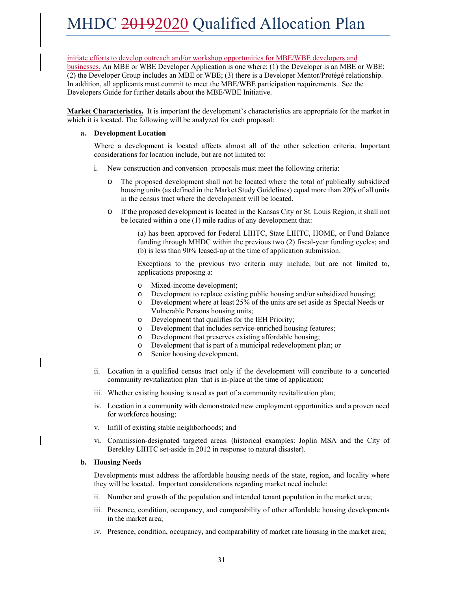#### initiate efforts to develop outreach and/or workshop opportunities for MBE/WBE developers and

businesses. An MBE or WBE Developer Application is one where: (1) the Developer is an MBE or WBE; (2) the Developer Group includes an MBE or WBE; (3) there is a Developer Mentor/Protégé relationship. In addition, all applicants must commit to meet the MBE/WBE participation requirements. See the Developers Guide for further details about the MBE/WBE Initiative.

**Market Characteristics.** It is important the development's characteristics are appropriate for the market in which it is located. The following will be analyzed for each proposal:

#### **a. Development Location**

Where a development is located affects almost all of the other selection criteria. Important considerations for location include, but are not limited to:

- i. New construction and conversion proposals must meet the following criteria:
	- o The proposed development shall not be located where the total of publically subsidized housing units (as defined in the Market Study Guidelines) equal more than 20% of all units in the census tract where the development will be located.
	- o If the proposed development is located in the Kansas City or St. Louis Region, it shall not be located within a one (1) mile radius of any development that:

(a) has been approved for Federal LIHTC, State LIHTC, HOME, or Fund Balance funding through MHDC within the previous two (2) fiscal-year funding cycles; and (b) is less than 90% leased-up at the time of application submission.

Exceptions to the previous two criteria may include, but are not limited to, applications proposing a:

- o Mixed-income development;
- o Development to replace existing public housing and/or subsidized housing;
- o Development where at least 25% of the units are set aside as Special Needs or Vulnerable Persons housing units;
- o Development that qualifies for the IEH Priority;
- o Development that includes service-enriched housing features;
- o Development that preserves existing affordable housing;
- o Development that is part of a municipal redevelopment plan; or
- o Senior housing development.
- ii. Location in a qualified census tract only if the development will contribute to a concerted community revitalization plan that is in-place at the time of application;
- iii. Whether existing housing is used as part of a community revitalization plan;
- iv. Location in a community with demonstrated new employment opportunities and a proven need for workforce housing;
- v. Infill of existing stable neighborhoods; and
- vi. Commission-designated targeted areas. (historical examples: Joplin MSA and the City of Berekley LIHTC set-aside in 2012 in response to natural disaster).

#### **b. Housing Needs**

Developments must address the affordable housing needs of the state, region, and locality where they will be located. Important considerations regarding market need include:

- ii. Number and growth of the population and intended tenant population in the market area;
- iii. Presence, condition, occupancy, and comparability of other affordable housing developments in the market area;
- iv. Presence, condition, occupancy, and comparability of market rate housing in the market area;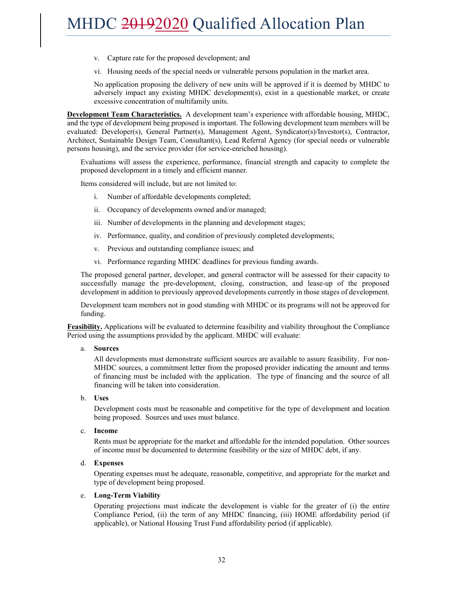- v. Capture rate for the proposed development; and
- vi. Housing needs of the special needs or vulnerable persons population in the market area.

No application proposing the delivery of new units will be approved if it is deemed by MHDC to adversely impact any existing MHDC development(s), exist in a questionable market, or create excessive concentration of multifamily units.

**Development Team Characteristics.** A development team's experience with affordable housing, MHDC, and the type of development being proposed is important. The following development team members will be evaluated: Developer(s), General Partner(s), Management Agent, Syndicator(s)/Investor(s), Contractor, Architect, Sustainable Design Team, Consultant(s), Lead Referral Agency (for special needs or vulnerable persons housing), and the service provider (for service-enriched housing).

Evaluations will assess the experience, performance, financial strength and capacity to complete the proposed development in a timely and efficient manner.

Items considered will include, but are not limited to:

- i. Number of affordable developments completed;
- ii. Occupancy of developments owned and/or managed;
- iii. Number of developments in the planning and development stages;
- iv. Performance, quality, and condition of previously completed developments;
- v. Previous and outstanding compliance issues; and
- vi. Performance regarding MHDC deadlines for previous funding awards.

The proposed general partner, developer, and general contractor will be assessed for their capacity to successfully manage the pre-development, closing, construction, and lease-up of the proposed development in addition to previously approved developments currently in those stages of development.

Development team members not in good standing with MHDC or its programs will not be approved for funding.

**Feasibility.** Applications will be evaluated to determine feasibility and viability throughout the Compliance Period using the assumptions provided by the applicant. MHDC will evaluate:

#### a. **Sources**

All developments must demonstrate sufficient sources are available to assure feasibility. For non-MHDC sources, a commitment letter from the proposed provider indicating the amount and terms of financing must be included with the application. The type of financing and the source of all financing will be taken into consideration.

#### b. **Uses**

Development costs must be reasonable and competitive for the type of development and location being proposed. Sources and uses must balance.

#### c. **Income**

Rents must be appropriate for the market and affordable for the intended population. Other sources of income must be documented to determine feasibility or the size of MHDC debt, if any.

#### d. **Expenses**

Operating expenses must be adequate, reasonable, competitive, and appropriate for the market and type of development being proposed.

#### e. **Long-Term Viability**

Operating projections must indicate the development is viable for the greater of (i) the entire Compliance Period, (ii) the term of any MHDC financing, (iii) HOME affordability period (if applicable), or National Housing Trust Fund affordability period (if applicable).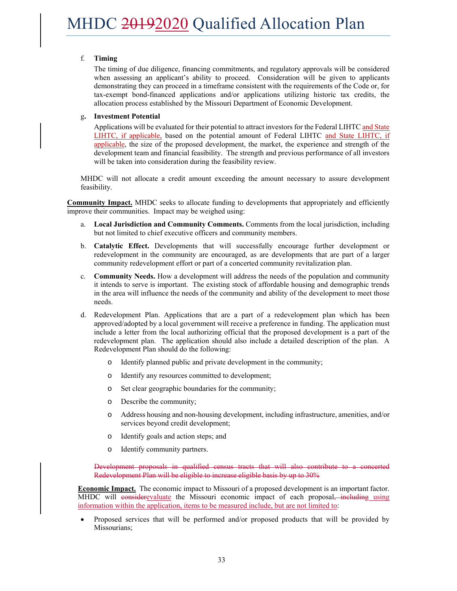#### f. **Timing**

The timing of due diligence, financing commitments, and regulatory approvals will be considered when assessing an applicant's ability to proceed. Consideration will be given to applicants demonstrating they can proceed in a timeframe consistent with the requirements of the Code or, for tax-exempt bond-financed applications and/or applications utilizing historic tax credits, the allocation process established by the Missouri Department of Economic Development.

#### g**. Investment Potential**

Applications will be evaluated for their potential to attract investors for the Federal LIHTC and State LIHTC, if applicable, based on the potential amount of Federal LIHTC and State LIHTC, if applicable, the size of the proposed development, the market, the experience and strength of the development team and financial feasibility. The strength and previous performance of all investors will be taken into consideration during the feasibility review.

MHDC will not allocate a credit amount exceeding the amount necessary to assure development feasibility.

**Community Impact.** MHDC seeks to allocate funding to developments that appropriately and efficiently improve their communities. Impact may be weighed using:

- a. **Local Jurisdiction and Community Comments.** Comments from the local jurisdiction, including but not limited to chief executive officers and community members.
- b. **Catalytic Effect.** Developments that will successfully encourage further development or redevelopment in the community are encouraged, as are developments that are part of a larger community redevelopment effort or part of a concerted community revitalization plan.
- c. **Community Needs.** How a development will address the needs of the population and community it intends to serve is important. The existing stock of affordable housing and demographic trends in the area will influence the needs of the community and ability of the development to meet those needs.
- d. Redevelopment Plan. Applications that are a part of a redevelopment plan which has been approved/adopted by a local government will receive a preference in funding. The application must include a letter from the local authorizing official that the proposed development is a part of the redevelopment plan. The application should also include a detailed description of the plan. A Redevelopment Plan should do the following:
	- o Identify planned public and private development in the community;
	- o Identify any resources committed to development;
	- o Set clear geographic boundaries for the community;
	- o Describe the community;
	- o Address housing and non-housing development, including infrastructure, amenities, and/or services beyond credit development;
	- o Identify goals and action steps; and
	- o Identify community partners.

Development proposals in qualified census tracts that will also contribute to a concerted Redevelopment Plan will be eligible to increase eligible basis by up to 30%

**Economic Impact.** The economic impact to Missouri of a proposed development is an important factor. MHDC will considerevaluate the Missouri economic impact of each proposal, including using information within the application, items to be measured include, but are not limited to:

 Proposed services that will be performed and/or proposed products that will be provided by Missourians;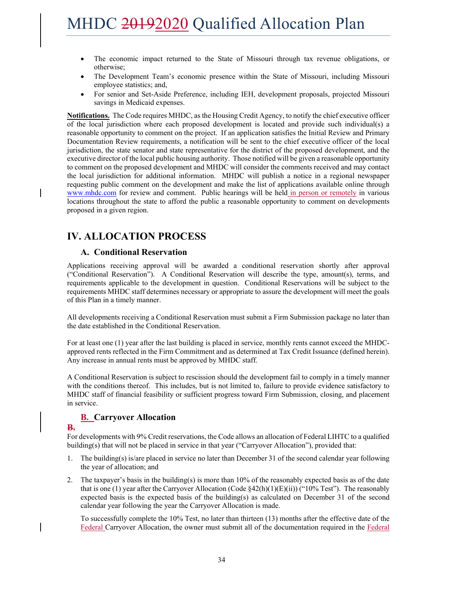- The economic impact returned to the State of Missouri through tax revenue obligations, or otherwise;
- The Development Team's economic presence within the State of Missouri, including Missouri employee statistics; and,
- For senior and Set-Aside Preference, including IEH, development proposals, projected Missouri savings in Medicaid expenses.

**Notifications.** The Code requires MHDC, as the Housing Credit Agency, to notify the chief executive officer of the local jurisdiction where each proposed development is located and provide such individual(s) a reasonable opportunity to comment on the project. If an application satisfies the Initial Review and Primary Documentation Review requirements, a notification will be sent to the chief executive officer of the local jurisdiction, the state senator and state representative for the district of the proposed development, and the executive director of the local public housing authority. Those notified will be given a reasonable opportunity to comment on the proposed development and MHDC will consider the comments received and may contact the local jurisdiction for additional information. MHDC will publish a notice in a regional newspaper requesting public comment on the development and make the list of applications available online through www.mhdc.com for review and comment. Public hearings will be held in person or remotely in various locations throughout the state to afford the public a reasonable opportunity to comment on developments proposed in a given region.

### **IV. ALLOCATION PROCESS**

#### **A. Conditional Reservation**

Applications receiving approval will be awarded a conditional reservation shortly after approval ("Conditional Reservation"). A Conditional Reservation will describe the type, amount(s), terms, and requirements applicable to the development in question. Conditional Reservations will be subject to the requirements MHDC staff determines necessary or appropriate to assure the development will meet the goals of this Plan in a timely manner.

All developments receiving a Conditional Reservation must submit a Firm Submission package no later than the date established in the Conditional Reservation.

For at least one (1) year after the last building is placed in service, monthly rents cannot exceed the MHDCapproved rents reflected in the Firm Commitment and as determined at Tax Credit Issuance (defined herein). Any increase in annual rents must be approved by MHDC staff.

A Conditional Reservation is subject to rescission should the development fail to comply in a timely manner with the conditions thereof. This includes, but is not limited to, failure to provide evidence satisfactory to MHDC staff of financial feasibility or sufficient progress toward Firm Submission, closing, and placement in service.

#### **B. Carryover Allocation**

#### **B.**

For developments with 9% Credit reservations, the Code allows an allocation of Federal LIHTC to a qualified building(s) that will not be placed in service in that year ("Carryover Allocation"), provided that:

- 1. The building(s) is/are placed in service no later than December 31 of the second calendar year following the year of allocation; and
- 2. The taxpayer's basis in the building(s) is more than 10% of the reasonably expected basis as of the date that is one (1) year after the Carryover Allocation (Code  $\S42(h)(1)(E(i))$  ("10% Test"). The reasonably expected basis is the expected basis of the building(s) as calculated on December 31 of the second calendar year following the year the Carryover Allocation is made.

To successfully complete the 10% Test, no later than thirteen (13) months after the effective date of the Federal Carryover Allocation, the owner must submit all of the documentation required in the Federal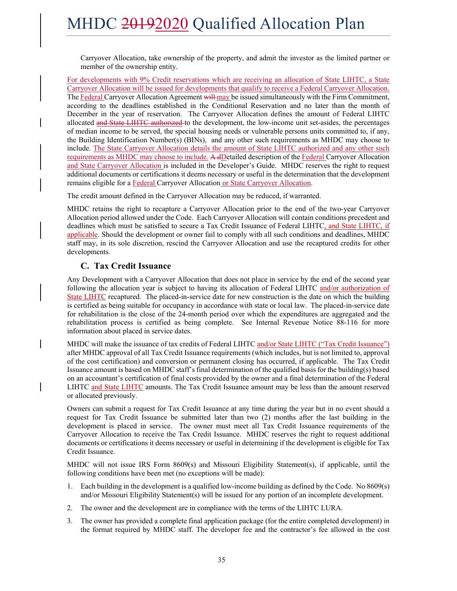Carryover Allocation, take ownership of the property, and admit the investor as the limited partner or member of the ownership entity.

For developments with 9% Credit reservations which are receiving an allocation of State LIHTC, a State Carryover Allocation will be issued for developments that qualify to receive a Federal Carryover Allocation. The Federal Carryover Allocation Agreement will may be issued simultaneously with the Firm Commitment, according to the deadlines established in the Conditional Reservation and no later than the month of December in the year of reservation. The Carryover Allocation defines the amount of Federal LIHTC allocated and State LIHTC authorized to the development, the low-income unit set-asides, the percentages of median income to be served, the special housing needs or vulnerable persons units committed to, if any, the Building Identification Number(s) (BINs), and any other such requirements as MHDC may choose to include. The State Carryover Allocation details the amount of State LIHTC authorized and any other such requirements as MHDC may choose to include. A dDetailed description of the Federal Carryover Allocation and State Carryover Allocation is included in the Developer's Guide. MHDC reserves the right to request additional documents or certifications it deems necessary or useful in the determination that the development remains eligible for a Federal Carryover Allocation or State Carryover Allocation.

The credit amount defined in the Carryover Allocation may be reduced, if warranted.

MHDC retains the right to recapture a Carryover Allocation prior to the end of the two-year Carryover Allocation period allowed under the Code. Each Carryover Allocation will contain conditions precedent and deadlines which must be satisfied to secure a Tax Credit Issuance of Federal LIHTC, and State LIHTC, if applicable. Should the development or owner fail to comply with all such conditions and deadlines, MHDC staff may, in its sole discretion, rescind the Carryover Allocation and use the recaptured credits for other developments.

#### **C. Tax Credit Issuance**

Any Development with a Carryover Allocation that does not place in service by the end of the second year following the allocation year is subject to having its allocation of Federal LIHTC and/or authorization of State LIHTC recaptured. The placed-in-service date for new construction is the date on which the building is certified as being suitable for occupancy in accordance with state or local law. The placed-in-service date for rehabilitation is the close of the 24-month period over which the expenditures are aggregated and the rehabilitation process is certified as being complete. See Internal Revenue Notice 88-116 for more information about placed in service dates.

MHDC will make the issuance of tax credits of Federal LIHTC and/or State LIHTC ("Tax Credit Issuance") after MHDC approval of all Tax Credit Issuance requirements (which includes, but is not limited to, approval of the cost certification) and conversion or permanent closing has occurred, if applicable. The Tax Credit Issuance amount is based on MHDC staff's final determination of the qualified basis for the building(s) based on an accountant's certification of final costs provided by the owner and a final determination of the Federal LIHTC and State LIHTC amounts. The Tax Credit Issuance amount may be less than the amount reserved or allocated previously.

Owners can submit a request for Tax Credit Issuance at any time during the year but in no event should a request for Tax Credit Issuance be submitted later than two (2) months after the last building in the development is placed in service. The owner must meet all Tax Credit Issuance requirements of the Carryover Allocation to receive the Tax Credit Issuance. MHDC reserves the right to request additional documents or certifications it deems necessary or useful in determining if the development is eligible for Tax Credit Issuance.

MHDC will not issue IRS Form 8609(s) and Missouri Eligibility Statement(s), if applicable, until the following conditions have been met (no exceptions will be made):

- 1. Each building in the development is a qualified low-income building as defined by the Code. No 8609(s) and/or Missouri Eligibility Statement(s) will be issued for any portion of an incomplete development.
- 2. The owner and the development are in compliance with the terms of the LIHTC LURA.
- 3. The owner has provided a complete final application package (for the entire completed development) in the format required by MHDC staff. The developer fee and the contractor's fee allowed in the cost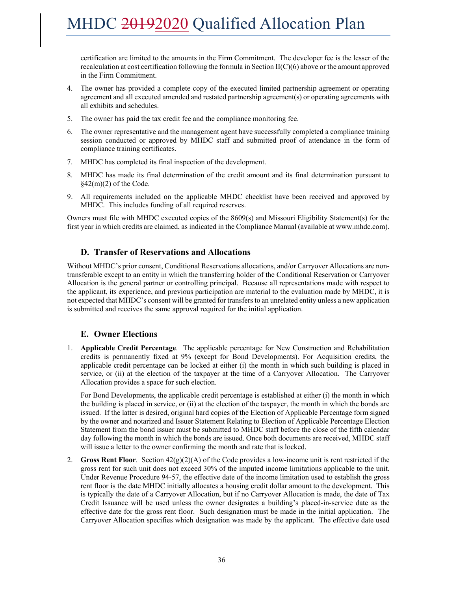certification are limited to the amounts in the Firm Commitment. The developer fee is the lesser of the recalculation at cost certification following the formula in Section  $II(C)(6)$  above or the amount approved in the Firm Commitment.

- 4. The owner has provided a complete copy of the executed limited partnership agreement or operating agreement and all executed amended and restated partnership agreement(s) or operating agreements with all exhibits and schedules.
- 5. The owner has paid the tax credit fee and the compliance monitoring fee.
- 6. The owner representative and the management agent have successfully completed a compliance training session conducted or approved by MHDC staff and submitted proof of attendance in the form of compliance training certificates.
- 7. MHDC has completed its final inspection of the development.
- 8. MHDC has made its final determination of the credit amount and its final determination pursuant to  $\frac{2(2m)}{2}$  of the Code.
- 9. All requirements included on the applicable MHDC checklist have been received and approved by MHDC. This includes funding of all required reserves.

Owners must file with MHDC executed copies of the 8609(s) and Missouri Eligibility Statement(s) for the first year in which credits are claimed, as indicated in the Compliance Manual (available at www.mhdc.com).

#### **D. Transfer of Reservations and Allocations**

Without MHDC's prior consent, Conditional Reservations allocations, and/or Carryover Allocations are nontransferable except to an entity in which the transferring holder of the Conditional Reservation or Carryover Allocation is the general partner or controlling principal. Because all representations made with respect to the applicant, its experience, and previous participation are material to the evaluation made by MHDC, it is not expected that MHDC's consent will be granted for transfers to an unrelated entity unless a new application is submitted and receives the same approval required for the initial application.

#### **E. Owner Elections**

1. **Applicable Credit Percentage**. The applicable percentage for New Construction and Rehabilitation credits is permanently fixed at 9% (except for Bond Developments). For Acquisition credits, the applicable credit percentage can be locked at either (i) the month in which such building is placed in service, or (ii) at the election of the taxpayer at the time of a Carryover Allocation. The Carryover Allocation provides a space for such election.

For Bond Developments, the applicable credit percentage is established at either (i) the month in which the building is placed in service, or (ii) at the election of the taxpayer, the month in which the bonds are issued. If the latter is desired, original hard copies of the Election of Applicable Percentage form signed by the owner and notarized and Issuer Statement Relating to Election of Applicable Percentage Election Statement from the bond issuer must be submitted to MHDC staff before the close of the fifth calendar day following the month in which the bonds are issued. Once both documents are received, MHDC staff will issue a letter to the owner confirming the month and rate that is locked.

2. **Gross Rent Floor**. Section 42(g)(2)(A) of the Code provides a low-income unit is rent restricted if the gross rent for such unit does not exceed 30% of the imputed income limitations applicable to the unit. Under Revenue Procedure 94-57, the effective date of the income limitation used to establish the gross rent floor is the date MHDC initially allocates a housing credit dollar amount to the development. This is typically the date of a Carryover Allocation, but if no Carryover Allocation is made, the date of Tax Credit Issuance will be used unless the owner designates a building's placed-in-service date as the effective date for the gross rent floor. Such designation must be made in the initial application. The Carryover Allocation specifies which designation was made by the applicant. The effective date used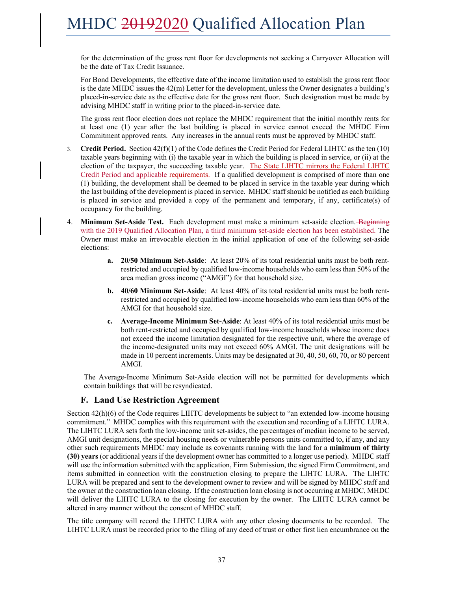for the determination of the gross rent floor for developments not seeking a Carryover Allocation will be the date of Tax Credit Issuance.

For Bond Developments, the effective date of the income limitation used to establish the gross rent floor is the date MHDC issues the 42(m) Letter for the development, unless the Owner designates a building's placed-in-service date as the effective date for the gross rent floor. Such designation must be made by advising MHDC staff in writing prior to the placed-in-service date.

The gross rent floor election does not replace the MHDC requirement that the initial monthly rents for at least one (1) year after the last building is placed in service cannot exceed the MHDC Firm Commitment approved rents. Any increases in the annual rents must be approved by MHDC staff.

- 3. **Credit Period.** Section 42(f)(1) of the Code defines the Credit Period for Federal LIHTC as the ten (10) taxable years beginning with (i) the taxable year in which the building is placed in service, or (ii) at the election of the taxpayer, the succeeding taxable year. The State LIHTC mirrors the Federal LIHTC Credit Period and applicable requirements. If a qualified development is comprised of more than one (1) building, the development shall be deemed to be placed in service in the taxable year during which the last building of the development is placed in service. MHDC staff should be notified as each building is placed in service and provided a copy of the permanent and temporary, if any, certificate(s) of occupancy for the building.
- 4. **Minimum Set-Aside Test.** Each development must make a minimum set-aside election. Beginning with the 2019 Qualified Allocation Plan, a third minimum set-aside election has been established. The Owner must make an irrevocable election in the initial application of one of the following set-aside elections:
	- **a. 20/50 Minimum Set-Aside**: At least 20% of its total residential units must be both rentrestricted and occupied by qualified low-income households who earn less than 50% of the area median gross income ("AMGI") for that household size.
	- **b. 40/60 Minimum Set-Aside**: At least 40% of its total residential units must be both rentrestricted and occupied by qualified low-income households who earn less than 60% of the AMGI for that household size.
	- **c. Average-Income Minimum Set-Aside**: At least 40% of its total residential units must be both rent-restricted and occupied by qualified low-income households whose income does not exceed the income limitation designated for the respective unit, where the average of the income-designated units may not exceed 60% AMGI. The unit designations will be made in 10 percent increments. Units may be designated at 30, 40, 50, 60, 70, or 80 percent AMGI.

The Average-Income Minimum Set-Aside election will not be permitted for developments which contain buildings that will be resyndicated.

#### **F. Land Use Restriction Agreement**

Section 42(h)(6) of the Code requires LIHTC developments be subject to "an extended low-income housing commitment." MHDC complies with this requirement with the execution and recording of a LIHTC LURA. The LIHTC LURA sets forth the low-income unit set-asides, the percentages of median income to be served, AMGI unit designations, the special housing needs or vulnerable persons units committed to, if any, and any other such requirements MHDC may include as covenants running with the land for a **minimum of thirty (30) years** (or additional years if the development owner has committed to a longer use period). MHDC staff will use the information submitted with the application, Firm Submission, the signed Firm Commitment, and items submitted in connection with the construction closing to prepare the LIHTC LURA. The LIHTC LURA will be prepared and sent to the development owner to review and will be signed by MHDC staff and the owner at the construction loan closing. If the construction loan closing is not occurring at MHDC, MHDC will deliver the LIHTC LURA to the closing for execution by the owner. The LIHTC LURA cannot be altered in any manner without the consent of MHDC staff.

The title company will record the LIHTC LURA with any other closing documents to be recorded. The LIHTC LURA must be recorded prior to the filing of any deed of trust or other first lien encumbrance on the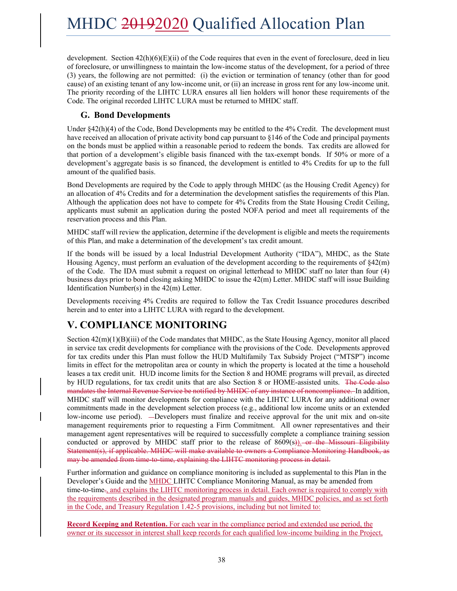development. Section  $42(h)(6)(E)(ii)$  of the Code requires that even in the event of foreclosure, deed in lieu of foreclosure, or unwillingness to maintain the low-income status of the development, for a period of three (3) years, the following are not permitted: (i) the eviction or termination of tenancy (other than for good cause) of an existing tenant of any low-income unit, or (ii) an increase in gross rent for any low-income unit. The priority recording of the LIHTC LURA ensures all lien holders will honor these requirements of the Code. The original recorded LIHTC LURA must be returned to MHDC staff.

#### **G. Bond Developments**

Under §42(h)(4) of the Code, Bond Developments may be entitled to the 4% Credit. The development must have received an allocation of private activity bond cap pursuant to §146 of the Code and principal payments on the bonds must be applied within a reasonable period to redeem the bonds. Tax credits are allowed for that portion of a development's eligible basis financed with the tax-exempt bonds. If 50% or more of a development's aggregate basis is so financed, the development is entitled to 4% Credits for up to the full amount of the qualified basis.

Bond Developments are required by the Code to apply through MHDC (as the Housing Credit Agency) for an allocation of 4% Credits and for a determination the development satisfies the requirements of this Plan. Although the application does not have to compete for 4% Credits from the State Housing Credit Ceiling, applicants must submit an application during the posted NOFA period and meet all requirements of the reservation process and this Plan.

MHDC staff will review the application, determine if the development is eligible and meets the requirements of this Plan, and make a determination of the development's tax credit amount.

If the bonds will be issued by a local Industrial Development Authority ("IDA"), MHDC, as the State Housing Agency, must perform an evaluation of the development according to the requirements of §42(m) of the Code. The IDA must submit a request on original letterhead to MHDC staff no later than four (4) business days prior to bond closing asking MHDC to issue the 42(m) Letter. MHDC staff will issue Building Identification Number(s) in the 42(m) Letter.

Developments receiving 4% Credits are required to follow the Tax Credit Issuance procedures described herein and to enter into a LIHTC LURA with regard to the development.

### **V. COMPLIANCE MONITORING**

Section 42(m)(1)(B)(iii) of the Code mandates that MHDC, as the State Housing Agency, monitor all placed in service tax credit developments for compliance with the provisions of the Code. Developments approved for tax credits under this Plan must follow the HUD Multifamily Tax Subsidy Project ("MTSP") income limits in effect for the metropolitan area or county in which the property is located at the time a household leases a tax credit unit. HUD income limits for the Section 8 and HOME programs will prevail, as directed by HUD regulations, for tax credit units that are also Section 8 or HOME-assisted units. The Code also mandates the Internal Revenue Service be notified by MHDC of any instance of noncompliance. In addition, MHDC staff will monitor developments for compliance with the LIHTC LURA for any additional owner commitments made in the development selection process (e.g., additional low income units or an extended low-income use period). —Developers must finalize and receive approval for the unit mix and on-site management requirements prior to requesting a Firm Commitment. All owner representatives and their management agent representatives will be required to successfully complete a compliance training session conducted or approved by MHDC staff prior to the release of  $8609(s)$ ). or the Missouri Eligibility Statement(s), if applicable. MHDC will make available to owners a Compliance Monitoring Handbook, as may be amended from time-to-time, explaining the LIHTC monitoring process in detail.

Further information and guidance on compliance monitoring is included as supplemental to this Plan in the Developer's Guide and the MHDC LIHTC Compliance Monitoring Manual, as may be amended from time-to-time., and explains the LIHTC monitoring process in detail. Each owner is required to comply with the requirements described in the designated program manuals and guides, MHDC policies, and as set forth in the Code, and Treasury Regulation 1.42-5 provisions, including but not limited to:

**Record Keeping and Retention.** For each year in the compliance period and extended use period, the owner or its successor in interest shall keep records for each qualified low-income building in the Project,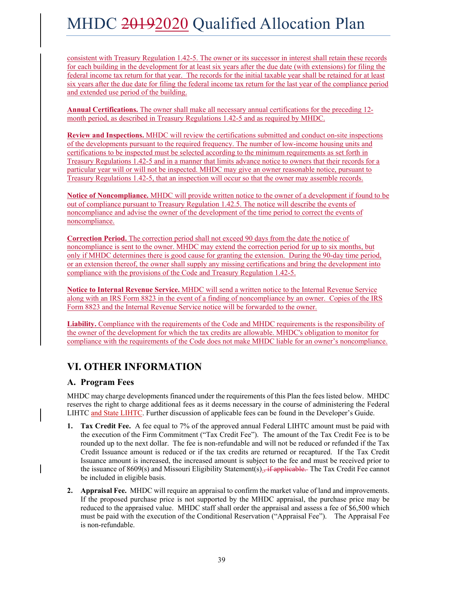consistent with Treasury Regulation 1.42-5. The owner or its successor in interest shall retain these records for each building in the development for at least six years after the due date (with extensions) for filing the federal income tax return for that year. The records for the initial taxable year shall be retained for at least six years after the due date for filing the federal income tax return for the last year of the compliance period and extended use period of the building.

**Annual Certifications.** The owner shall make all necessary annual certifications for the preceding 12 month period, as described in Treasury Regulations 1.42-5 and as required by MHDC.

**Review and Inspections.** MHDC will review the certifications submitted and conduct on-site inspections of the developments pursuant to the required frequency. The number of low-income housing units and certifications to be inspected must be selected according to the minimum requirements as set forth in Treasury Regulations 1.42-5 and in a manner that limits advance notice to owners that their records for a particular year will or will not be inspected. MHDC may give an owner reasonable notice, pursuant to Treasury Regulations 1.42-5, that an inspection will occur so that the owner may assemble records.

**Notice of Noncompliance.** MHDC will provide written notice to the owner of a development if found to be out of compliance pursuant to Treasury Regulation 1.42.5. The notice will describe the events of noncompliance and advise the owner of the development of the time period to correct the events of noncompliance.

**Correction Period.** The correction period shall not exceed 90 days from the date the notice of noncompliance is sent to the owner. MHDC may extend the correction period for up to six months, but only if MHDC determines there is good cause for granting the extension. During the 90-day time period, or an extension thereof, the owner shall supply any missing certifications and bring the development into compliance with the provisions of the Code and Treasury Regulation 1.42-5.

**Notice to Internal Revenue Service.** MHDC will send a written notice to the Internal Revenue Service along with an IRS Form 8823 in the event of a finding of noncompliance by an owner. Copies of the IRS Form 8823 and the Internal Revenue Service notice will be forwarded to the owner.

**Liability.** Compliance with the requirements of the Code and MHDC requirements is the responsibility of the owner of the development for which the tax credits are allowable. MHDC's obligation to monitor for compliance with the requirements of the Code does not make MHDC liable for an owner's noncompliance.

### **VI. OTHER INFORMATION**

#### **A. Program Fees**

MHDC may charge developments financed under the requirements of this Plan the fees listed below. MHDC reserves the right to charge additional fees as it deems necessary in the course of administering the Federal LIHTC and State LIHTC. Further discussion of applicable fees can be found in the Developer's Guide.

- **1. Tax Credit Fee.** A fee equal to 7% of the approved annual Federal LIHTC amount must be paid with the execution of the Firm Commitment ("Tax Credit Fee"). The amount of the Tax Credit Fee is to be rounded up to the next dollar. The fee is non-refundable and will not be reduced or refunded if the Tax Credit Issuance amount is reduced or if the tax credits are returned or recaptured. If the Tax Credit Issuance amount is increased, the increased amount is subject to the fee and must be received prior to the issuance of 8609(s) and Missouri Eligibility Statement(s) $\frac{1}{2}$  if applicable. The Tax Credit Fee cannot be included in eligible basis.
- **2. Appraisal Fee.** MHDC will require an appraisal to confirm the market value of land and improvements. If the proposed purchase price is not supported by the MHDC appraisal, the purchase price may be reduced to the appraised value. MHDC staff shall order the appraisal and assess a fee of \$6,500 which must be paid with the execution of the Conditional Reservation ("Appraisal Fee"). The Appraisal Fee is non-refundable.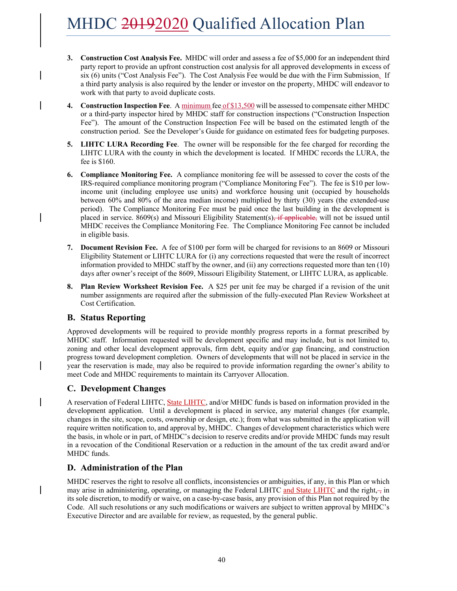- **3. Construction Cost Analysis Fee.** MHDC will order and assess a fee of \$5,000 for an independent third party report to provide an upfront construction cost analysis for all approved developments in excess of six (6) units ("Cost Analysis Fee"). The Cost Analysis Fee would be due with the Firm Submission. If a third party analysis is also required by the lender or investor on the property, MHDC will endeavor to work with that party to avoid duplicate costs.
- **4. Construction Inspection Fee**. A minimum fee of \$13,500 will be assessed to compensate either MHDC or a third-party inspector hired by MHDC staff for construction inspections ("Construction Inspection Fee"). The amount of the Construction Inspection Fee will be based on the estimated length of the construction period. See the Developer's Guide for guidance on estimated fees for budgeting purposes.
- **5. LIHTC LURA Recording Fee**. The owner will be responsible for the fee charged for recording the LIHTC LURA with the county in which the development is located. If MHDC records the LURA, the fee is \$160.
- **6. Compliance Monitoring Fee.** A compliance monitoring fee will be assessed to cover the costs of the IRS-required compliance monitoring program ("Compliance Monitoring Fee"). The fee is \$10 per lowincome unit (including employee use units) and workforce housing unit (occupied by households between 60% and 80% of the area median income) multiplied by thirty (30) years (the extended-use period). The Compliance Monitoring Fee must be paid once the last building in the development is placed in service. 8609(s) and Missouri Eligibility Statement(s), if applicable, will not be issued until MHDC receives the Compliance Monitoring Fee. The Compliance Monitoring Fee cannot be included in eligible basis.
- **7. Document Revision Fee.** A fee of \$100 per form will be charged for revisions to an 8609 or Missouri Eligibility Statement or LIHTC LURA for (i) any corrections requested that were the result of incorrect information provided to MHDC staff by the owner, and (ii) any corrections requested more than ten (10) days after owner's receipt of the 8609, Missouri Eligibility Statement, or LIHTC LURA, as applicable.
- **8. Plan Review Worksheet Revision Fee.** A \$25 per unit fee may be charged if a revision of the unit number assignments are required after the submission of the fully-executed Plan Review Worksheet at Cost Certification.

#### **B. Status Reporting**

Approved developments will be required to provide monthly progress reports in a format prescribed by MHDC staff. Information requested will be development specific and may include, but is not limited to, zoning and other local development approvals, firm debt, equity and/or gap financing, and construction progress toward development completion. Owners of developments that will not be placed in service in the year the reservation is made, may also be required to provide information regarding the owner's ability to meet Code and MHDC requirements to maintain its Carryover Allocation.

### **C. Development Changes**

A reservation of Federal LIHTC, State LIHTC, and/or MHDC funds is based on information provided in the development application. Until a development is placed in service, any material changes (for example, changes in the site, scope, costs, ownership or design, etc.); from what was submitted in the application will require written notification to, and approval by, MHDC. Changes of development characteristics which were the basis, in whole or in part, of MHDC's decision to reserve credits and/or provide MHDC funds may result in a revocation of the Conditional Reservation or a reduction in the amount of the tax credit award and/or MHDC funds.

#### **D. Administration of the Plan**

MHDC reserves the right to resolve all conflicts, inconsistencies or ambiguities, if any, in this Plan or which may arise in administering, operating, or managing the Federal LIHTC and State LIHTC and the right, $\frac{1}{2}$  in its sole discretion, to modify or waive, on a case-by-case basis, any provision of this Plan not required by the Code. All such resolutions or any such modifications or waivers are subject to written approval by MHDC's Executive Director and are available for review, as requested, by the general public.